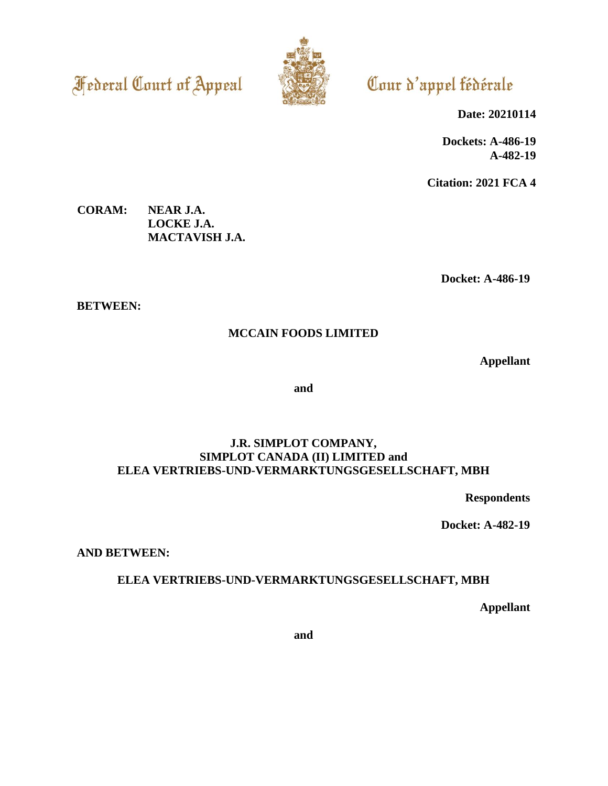**Federal Court of Appeal** 



Cour d'appel fédérale

**Date: 20210114**

**Dockets: A-486-19 A-482-19**

**Citation: 2021 FCA 4**

**CORAM: NEAR J.A. LOCKE J.A. MACTAVISH J.A.**

**Docket: A-486-19**

**BETWEEN:**

# **MCCAIN FOODS LIMITED**

**Appellant**

**and**

# **J.R. SIMPLOT COMPANY, SIMPLOT CANADA (II) LIMITED and ELEA VERTRIEBS-UND-VERMARKTUNGSGESELLSCHAFT, MBH**

**Respondents**

**Docket: A-482-19**

**AND BETWEEN:**

# **ELEA VERTRIEBS-UND-VERMARKTUNGSGESELLSCHAFT, MBH**

**Appellant**

**and**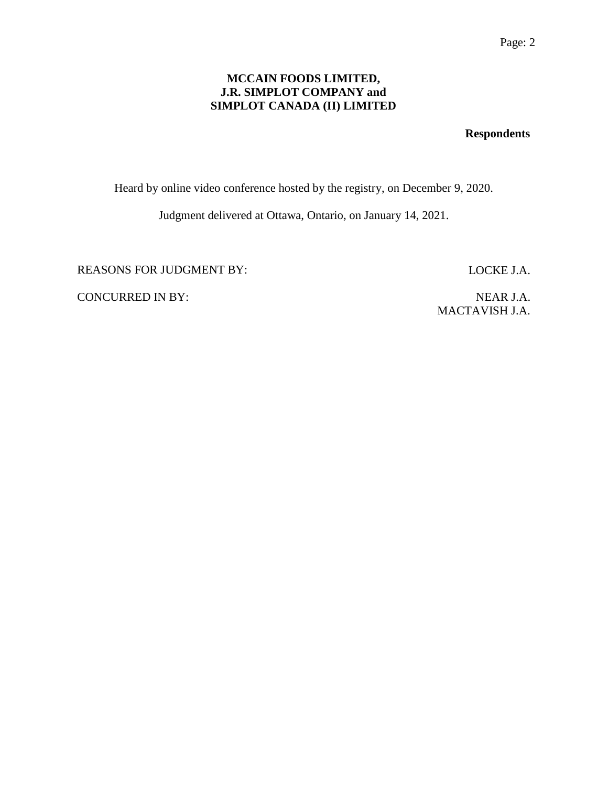# **MCCAIN FOODS LIMITED, J.R. SIMPLOT COMPANY and SIMPLOT CANADA (II) LIMITED**

# **Respondents**

Heard by online video conference hosted by the registry, on December 9, 2020.

Judgment delivered at Ottawa, Ontario, on January 14, 2021.

REASONS FOR JUDGMENT BY: LOCKE J.A.

CONCURRED IN BY: NEAR J.A.

MACTAVISH J.A.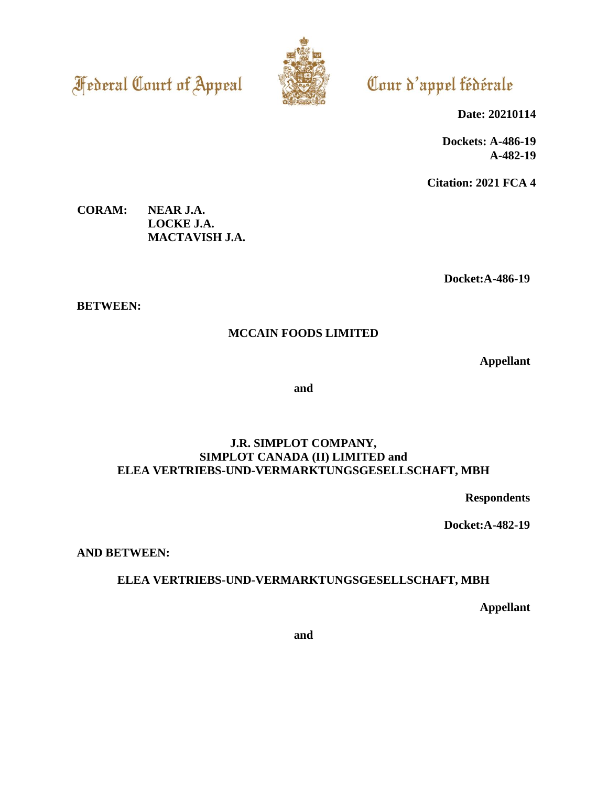**Federal Court of Appeal** 



# Cour d'appel fédérale

**Date: 20210114**

**Dockets: A-486-19 A-482-19**

**Citation: 2021 FCA 4**

**CORAM: NEAR J.A. LOCKE J.A. MACTAVISH J.A.**

**Docket:A-486-19**

**BETWEEN:**

# **MCCAIN FOODS LIMITED**

**Appellant**

**and**

# **J.R. SIMPLOT COMPANY, SIMPLOT CANADA (II) LIMITED and ELEA VERTRIEBS-UND-VERMARKTUNGSGESELLSCHAFT, MBH**

**Respondents**

**Docket:A-482-19**

**AND BETWEEN:**

# **ELEA VERTRIEBS-UND-VERMARKTUNGSGESELLSCHAFT, MBH**

**Appellant**

**and**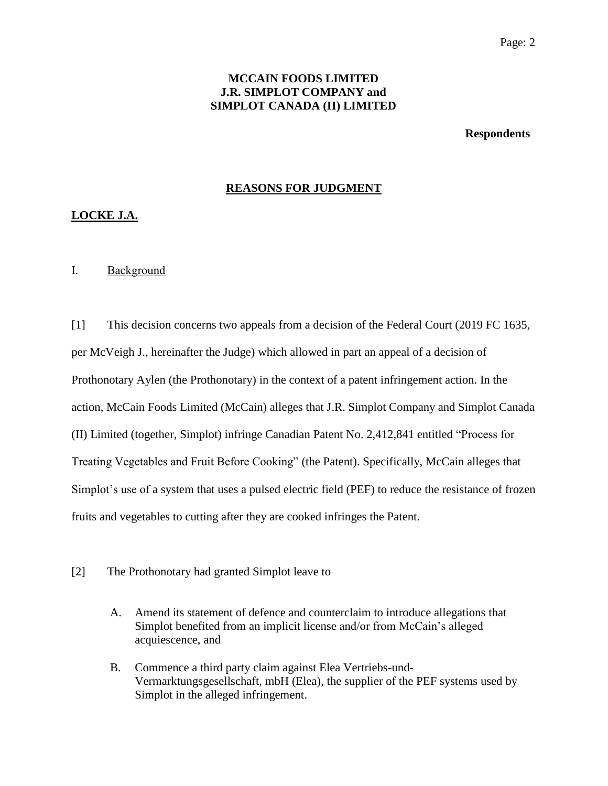# **MCCAIN FOODS LIMITED J.R. SIMPLOT COMPANY and SIMPLOT CANADA (II) LIMITED**

**Respondents**

# **REASONS FOR JUDGMENT**

# **LOCKE J.A.**

## I. Background

[1] This decision concerns two appeals from a decision of the Federal Court (2019 FC 1635, per McVeigh J., hereinafter the Judge) which allowed in part an appeal of a decision of Prothonotary Aylen (the Prothonotary) in the context of a patent infringement action. In the action, McCain Foods Limited (McCain) alleges that J.R. Simplot Company and Simplot Canada (II) Limited (together, Simplot) infringe Canadian Patent No. 2,412,841 entitled "Process for Treating Vegetables and Fruit Before Cooking" (the Patent). Specifically, McCain alleges that Simplot's use of a system that uses a pulsed electric field (PEF) to reduce the resistance of frozen fruits and vegetables to cutting after they are cooked infringes the Patent.

## [2] The Prothonotary had granted Simplot leave to

- A. Amend its statement of defence and counterclaim to introduce allegations that Simplot benefited from an implicit license and/or from McCain's alleged acquiescence, and
- B. Commence a third party claim against Elea Vertriebs-und-Vermarktungsgesellschaft, mbH (Elea), the supplier of the PEF systems used by Simplot in the alleged infringement.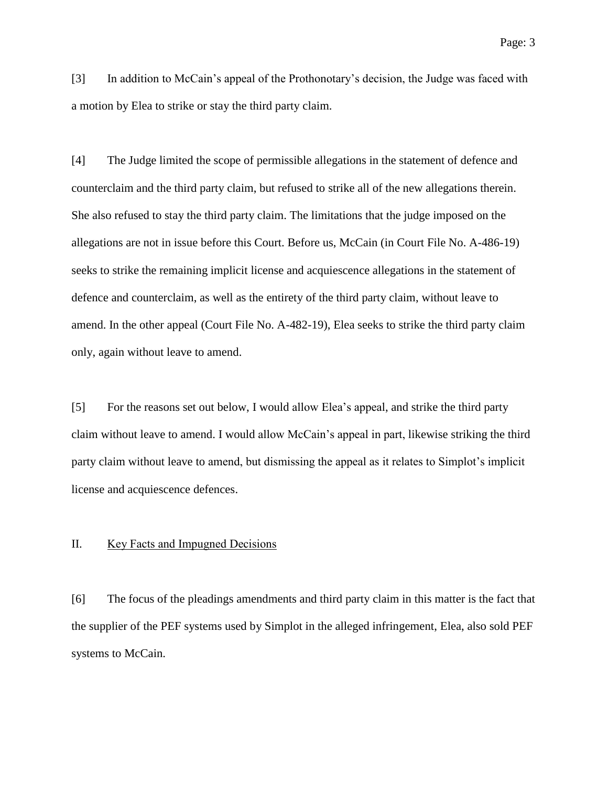[3] In addition to McCain's appeal of the Prothonotary's decision, the Judge was faced with a motion by Elea to strike or stay the third party claim.

[4] The Judge limited the scope of permissible allegations in the statement of defence and counterclaim and the third party claim, but refused to strike all of the new allegations therein. She also refused to stay the third party claim. The limitations that the judge imposed on the allegations are not in issue before this Court. Before us, McCain (in Court File No. A-486-19) seeks to strike the remaining implicit license and acquiescence allegations in the statement of defence and counterclaim, as well as the entirety of the third party claim, without leave to amend. In the other appeal (Court File No. A-482-19), Elea seeks to strike the third party claim only, again without leave to amend.

[5] For the reasons set out below, I would allow Elea's appeal, and strike the third party claim without leave to amend. I would allow McCain's appeal in part, likewise striking the third party claim without leave to amend, but dismissing the appeal as it relates to Simplot's implicit license and acquiescence defences.

#### II. Key Facts and Impugned Decisions

[6] The focus of the pleadings amendments and third party claim in this matter is the fact that the supplier of the PEF systems used by Simplot in the alleged infringement, Elea, also sold PEF systems to McCain.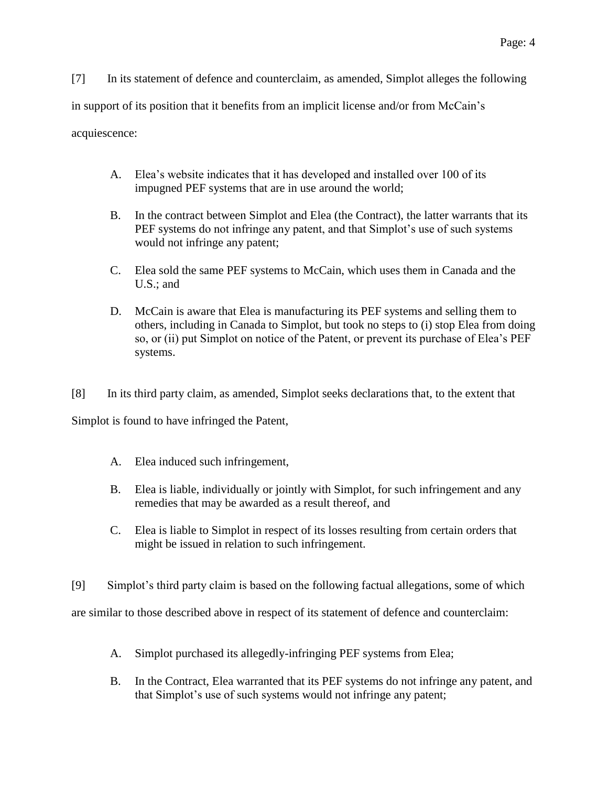[7] In its statement of defence and counterclaim, as amended, Simplot alleges the following in support of its position that it benefits from an implicit license and/or from McCain's acquiescence:

- A. Elea's website indicates that it has developed and installed over 100 of its impugned PEF systems that are in use around the world;
- B. In the contract between Simplot and Elea (the Contract), the latter warrants that its PEF systems do not infringe any patent, and that Simplot's use of such systems would not infringe any patent;
- C. Elea sold the same PEF systems to McCain, which uses them in Canada and the U.S.; and
- D. McCain is aware that Elea is manufacturing its PEF systems and selling them to others, including in Canada to Simplot, but took no steps to (i) stop Elea from doing so, or (ii) put Simplot on notice of the Patent, or prevent its purchase of Elea's PEF systems.
- [8] In its third party claim, as amended, Simplot seeks declarations that, to the extent that

Simplot is found to have infringed the Patent,

- A. Elea induced such infringement,
- B. Elea is liable, individually or jointly with Simplot, for such infringement and any remedies that may be awarded as a result thereof, and
- C. Elea is liable to Simplot in respect of its losses resulting from certain orders that might be issued in relation to such infringement.
- [9] Simplot's third party claim is based on the following factual allegations, some of which

are similar to those described above in respect of its statement of defence and counterclaim:

- A. Simplot purchased its allegedly-infringing PEF systems from Elea;
- B. In the Contract, Elea warranted that its PEF systems do not infringe any patent, and that Simplot's use of such systems would not infringe any patent;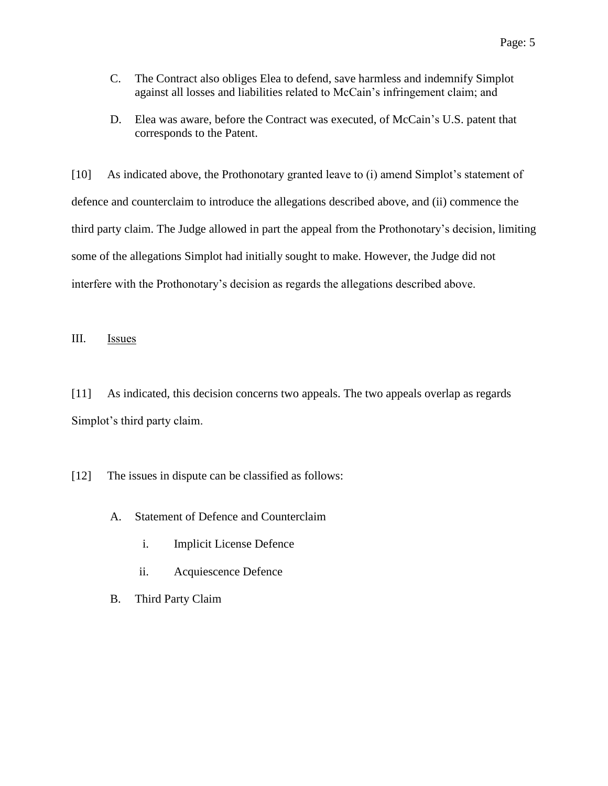- C. The Contract also obliges Elea to defend, save harmless and indemnify Simplot against all losses and liabilities related to McCain's infringement claim; and
- D. Elea was aware, before the Contract was executed, of McCain's U.S. patent that corresponds to the Patent.

[10] As indicated above, the Prothonotary granted leave to (i) amend Simplot's statement of defence and counterclaim to introduce the allegations described above, and (ii) commence the third party claim. The Judge allowed in part the appeal from the Prothonotary's decision, limiting some of the allegations Simplot had initially sought to make. However, the Judge did not interfere with the Prothonotary's decision as regards the allegations described above.

# III. Issues

[11] As indicated, this decision concerns two appeals. The two appeals overlap as regards Simplot's third party claim.

[12] The issues in dispute can be classified as follows:

- A. Statement of Defence and Counterclaim
	- i. Implicit License Defence
	- ii. Acquiescence Defence
- B. Third Party Claim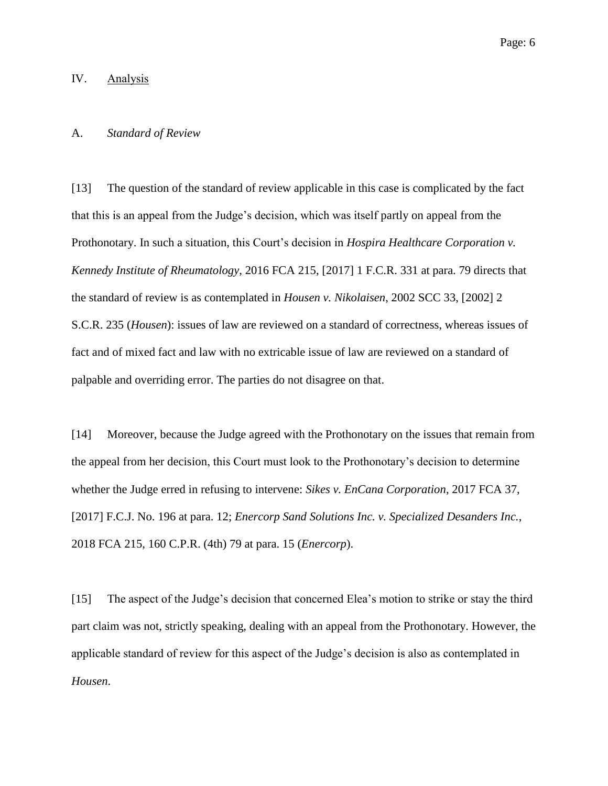## IV. Analysis

## A. *Standard of Review*

[13] The question of the standard of review applicable in this case is complicated by the fact that this is an appeal from the Judge's decision, which was itself partly on appeal from the Prothonotary. In such a situation, this Court's decision in *Hospira Healthcare Corporation v. Kennedy Institute of Rheumatology*, 2016 FCA 215, [2017] 1 F.C.R. 331 at para. 79 directs that the standard of review is as contemplated in *Housen v. Nikolaisen*, 2002 SCC 33, [2002] 2 S.C.R. 235 (*Housen*): issues of law are reviewed on a standard of correctness, whereas issues of fact and of mixed fact and law with no extricable issue of law are reviewed on a standard of palpable and overriding error. The parties do not disagree on that.

[14] Moreover, because the Judge agreed with the Prothonotary on the issues that remain from the appeal from her decision, this Court must look to the Prothonotary's decision to determine whether the Judge erred in refusing to intervene: *Sikes v. EnCana Corporation*, 2017 FCA 37, [2017] F.C.J. No. 196 at para. 12; *Enercorp Sand Solutions Inc. v. Specialized Desanders Inc.*, 2018 FCA 215, 160 C.P.R. (4th) 79 at para. 15 (*Enercorp*).

[15] The aspect of the Judge's decision that concerned Elea's motion to strike or stay the third part claim was not, strictly speaking, dealing with an appeal from the Prothonotary. However, the applicable standard of review for this aspect of the Judge's decision is also as contemplated in *Housen*.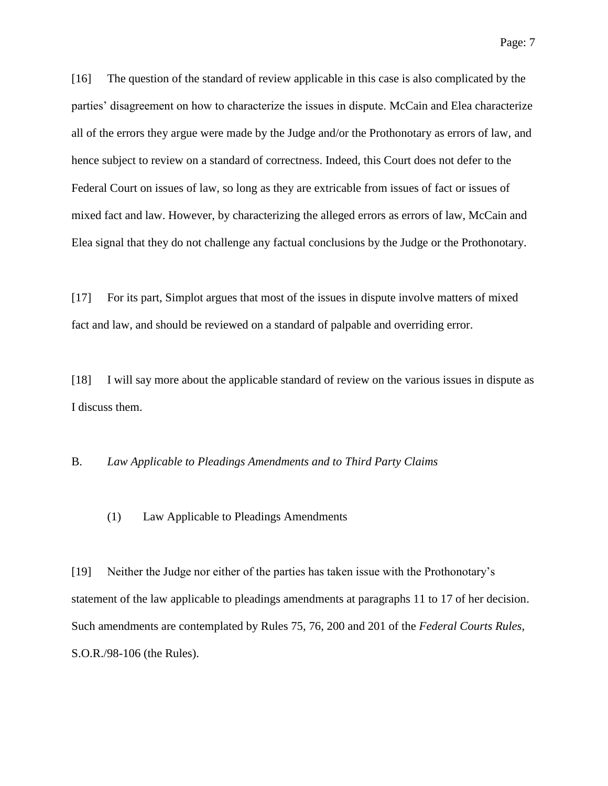[16] The question of the standard of review applicable in this case is also complicated by the parties' disagreement on how to characterize the issues in dispute. McCain and Elea characterize all of the errors they argue were made by the Judge and/or the Prothonotary as errors of law, and hence subject to review on a standard of correctness. Indeed, this Court does not defer to the Federal Court on issues of law, so long as they are extricable from issues of fact or issues of mixed fact and law. However, by characterizing the alleged errors as errors of law, McCain and Elea signal that they do not challenge any factual conclusions by the Judge or the Prothonotary.

[17] For its part, Simplot argues that most of the issues in dispute involve matters of mixed fact and law, and should be reviewed on a standard of palpable and overriding error.

[18] I will say more about the applicable standard of review on the various issues in dispute as I discuss them.

# B. *Law Applicable to Pleadings Amendments and to Third Party Claims*

#### (1) Law Applicable to Pleadings Amendments

[19] Neither the Judge nor either of the parties has taken issue with the Prothonotary's statement of the law applicable to pleadings amendments at paragraphs 11 to 17 of her decision. Such amendments are contemplated by Rules 75, 76, 200 and 201 of the *Federal Courts Rules*, S.O.R./98-106 (the Rules).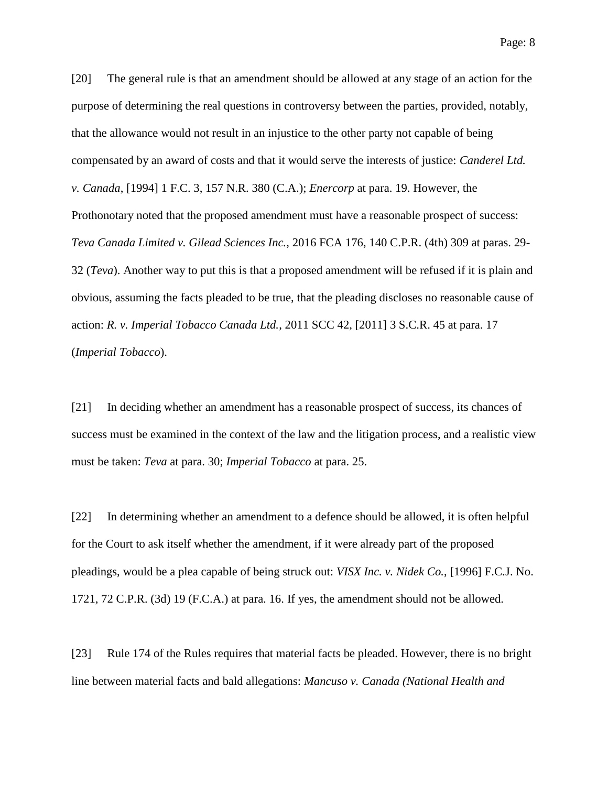[20] The general rule is that an amendment should be allowed at any stage of an action for the purpose of determining the real questions in controversy between the parties, provided, notably, that the allowance would not result in an injustice to the other party not capable of being compensated by an award of costs and that it would serve the interests of justice: *Canderel Ltd. v. Canada*, [1994] 1 F.C. 3, 157 N.R. 380 (C.A.); *Enercorp* at para. 19. However, the Prothonotary noted that the proposed amendment must have a reasonable prospect of success: *Teva Canada Limited v. Gilead Sciences Inc.*, 2016 FCA 176, 140 C.P.R. (4th) 309 at paras. 29- 32 (*Teva*). Another way to put this is that a proposed amendment will be refused if it is plain and obvious, assuming the facts pleaded to be true, that the pleading discloses no reasonable cause of action: *R. v. Imperial Tobacco Canada Ltd.*, 2011 SCC 42, [2011] 3 S.C.R. 45 at para. 17 (*Imperial Tobacco*).

[21] In deciding whether an amendment has a reasonable prospect of success, its chances of success must be examined in the context of the law and the litigation process, and a realistic view must be taken: *Teva* at para. 30; *Imperial Tobacco* at para. 25.

[22] In determining whether an amendment to a defence should be allowed, it is often helpful for the Court to ask itself whether the amendment, if it were already part of the proposed pleadings, would be a plea capable of being struck out: *VISX Inc. v. Nidek Co.*, [1996] F.C.J. No. 1721, 72 C.P.R. (3d) 19 (F.C.A.) at para. 16. If yes, the amendment should not be allowed.

[23] Rule 174 of the Rules requires that material facts be pleaded. However, there is no bright line between material facts and bald allegations: *Mancuso v. Canada (National Health and*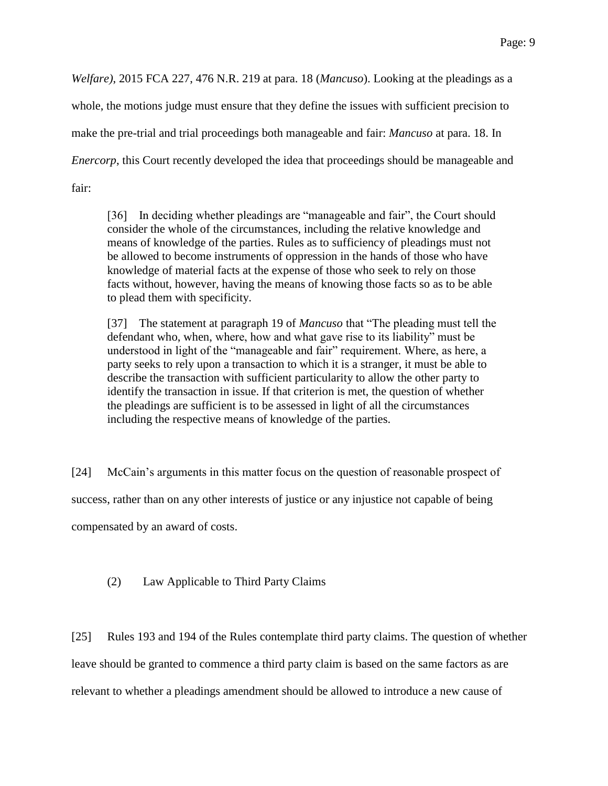*Welfare)*, 2015 FCA 227, 476 N.R. 219 at para. 18 (*Mancuso*). Looking at the pleadings as a whole, the motions judge must ensure that they define the issues with sufficient precision to make the pre-trial and trial proceedings both manageable and fair: *Mancuso* at para. 18. In *Enercorp*, this Court recently developed the idea that proceedings should be manageable and fair:

[36] In deciding whether pleadings are "manageable and fair", the Court should consider the whole of the circumstances, including the relative knowledge and means of knowledge of the parties. Rules as to sufficiency of pleadings must not be allowed to become instruments of oppression in the hands of those who have knowledge of material facts at the expense of those who seek to rely on those facts without, however, having the means of knowing those facts so as to be able to plead them with specificity.

[37] The statement at paragraph 19 of *Mancuso* that "The pleading must tell the defendant who, when, where, how and what gave rise to its liability" must be understood in light of the "manageable and fair" requirement. Where, as here, a party seeks to rely upon a transaction to which it is a stranger, it must be able to describe the transaction with sufficient particularity to allow the other party to identify the transaction in issue. If that criterion is met, the question of whether the pleadings are sufficient is to be assessed in light of all the circumstances including the respective means of knowledge of the parties.

[24] McCain's arguments in this matter focus on the question of reasonable prospect of success, rather than on any other interests of justice or any injustice not capable of being compensated by an award of costs.

# (2) Law Applicable to Third Party Claims

[25] Rules 193 and 194 of the Rules contemplate third party claims. The question of whether leave should be granted to commence a third party claim is based on the same factors as are relevant to whether a pleadings amendment should be allowed to introduce a new cause of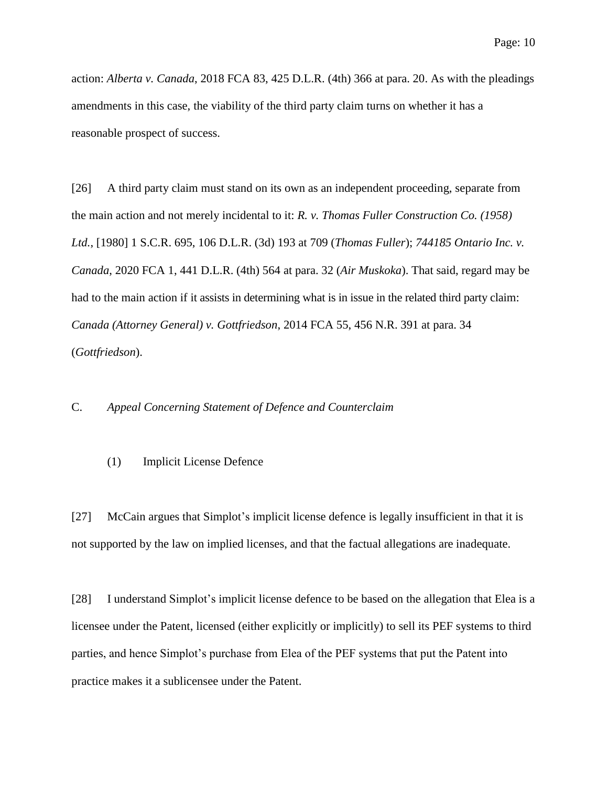action: *Alberta v. Canada*, 2018 FCA 83, 425 D.L.R. (4th) 366 at para. 20. As with the pleadings amendments in this case, the viability of the third party claim turns on whether it has a reasonable prospect of success.

[26] A third party claim must stand on its own as an independent proceeding, separate from the main action and not merely incidental to it: *R. v. Thomas Fuller Construction Co. (1958) Ltd.*, [1980] 1 S.C.R. 695, 106 D.L.R. (3d) 193 at 709 (*Thomas Fuller*); *744185 Ontario Inc. v. Canada*, 2020 FCA 1, 441 D.L.R. (4th) 564 at para. 32 (*Air Muskoka*). That said, regard may be had to the main action if it assists in determining what is in issue in the related third party claim: *Canada (Attorney General) v. Gottfriedson*, 2014 FCA 55, 456 N.R. 391 at para. 34 (*Gottfriedson*).

# C. *Appeal Concerning Statement of Defence and Counterclaim*

#### (1) Implicit License Defence

[27] McCain argues that Simplot's implicit license defence is legally insufficient in that it is not supported by the law on implied licenses, and that the factual allegations are inadequate.

[28] I understand Simplot's implicit license defence to be based on the allegation that Elea is a licensee under the Patent, licensed (either explicitly or implicitly) to sell its PEF systems to third parties, and hence Simplot's purchase from Elea of the PEF systems that put the Patent into practice makes it a sublicensee under the Patent.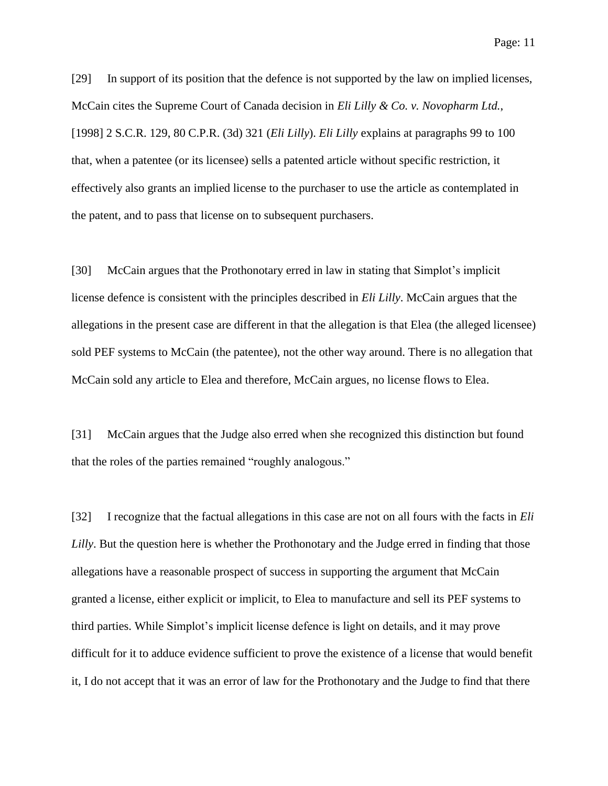Page: 11

[29] In support of its position that the defence is not supported by the law on implied licenses, McCain cites the Supreme Court of Canada decision in *Eli Lilly & Co. v. Novopharm Ltd.*, [1998] 2 S.C.R. 129, 80 C.P.R. (3d) 321 (*Eli Lilly*). *Eli Lilly* explains at paragraphs 99 to 100 that, when a patentee (or its licensee) sells a patented article without specific restriction, it effectively also grants an implied license to the purchaser to use the article as contemplated in the patent, and to pass that license on to subsequent purchasers.

[30] McCain argues that the Prothonotary erred in law in stating that Simplot's implicit license defence is consistent with the principles described in *Eli Lilly*. McCain argues that the allegations in the present case are different in that the allegation is that Elea (the alleged licensee) sold PEF systems to McCain (the patentee), not the other way around. There is no allegation that McCain sold any article to Elea and therefore, McCain argues, no license flows to Elea.

[31] McCain argues that the Judge also erred when she recognized this distinction but found that the roles of the parties remained "roughly analogous."

[32] I recognize that the factual allegations in this case are not on all fours with the facts in *Eli Lilly*. But the question here is whether the Prothonotary and the Judge erred in finding that those allegations have a reasonable prospect of success in supporting the argument that McCain granted a license, either explicit or implicit, to Elea to manufacture and sell its PEF systems to third parties. While Simplot's implicit license defence is light on details, and it may prove difficult for it to adduce evidence sufficient to prove the existence of a license that would benefit it, I do not accept that it was an error of law for the Prothonotary and the Judge to find that there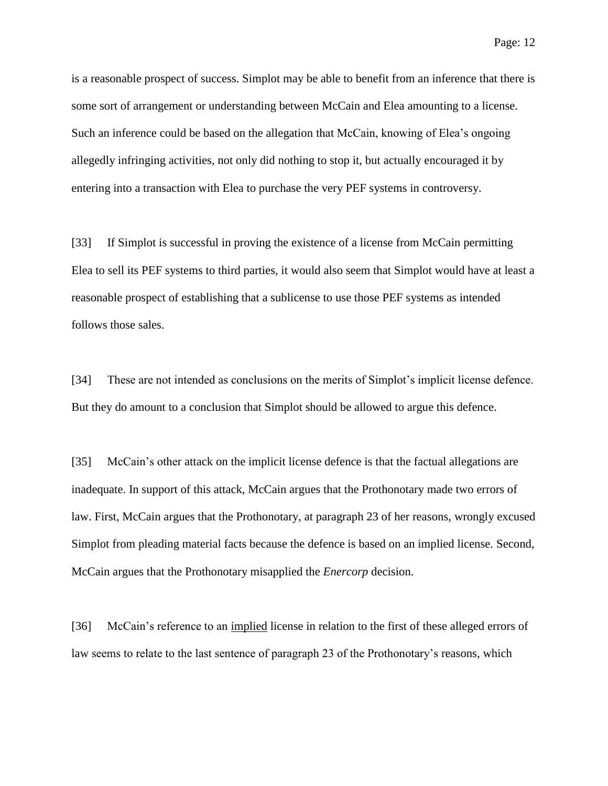is a reasonable prospect of success. Simplot may be able to benefit from an inference that there is some sort of arrangement or understanding between McCain and Elea amounting to a license. Such an inference could be based on the allegation that McCain, knowing of Elea's ongoing allegedly infringing activities, not only did nothing to stop it, but actually encouraged it by entering into a transaction with Elea to purchase the very PEF systems in controversy.

[33] If Simplot is successful in proving the existence of a license from McCain permitting Elea to sell its PEF systems to third parties, it would also seem that Simplot would have at least a reasonable prospect of establishing that a sublicense to use those PEF systems as intended follows those sales.

[34] These are not intended as conclusions on the merits of Simplot's implicit license defence. But they do amount to a conclusion that Simplot should be allowed to argue this defence.

[35] McCain's other attack on the implicit license defence is that the factual allegations are inadequate. In support of this attack, McCain argues that the Prothonotary made two errors of law. First, McCain argues that the Prothonotary, at paragraph 23 of her reasons, wrongly excused Simplot from pleading material facts because the defence is based on an implied license. Second, McCain argues that the Prothonotary misapplied the *Enercorp* decision.

[36] McCain's reference to an implied license in relation to the first of these alleged errors of law seems to relate to the last sentence of paragraph 23 of the Prothonotary's reasons, which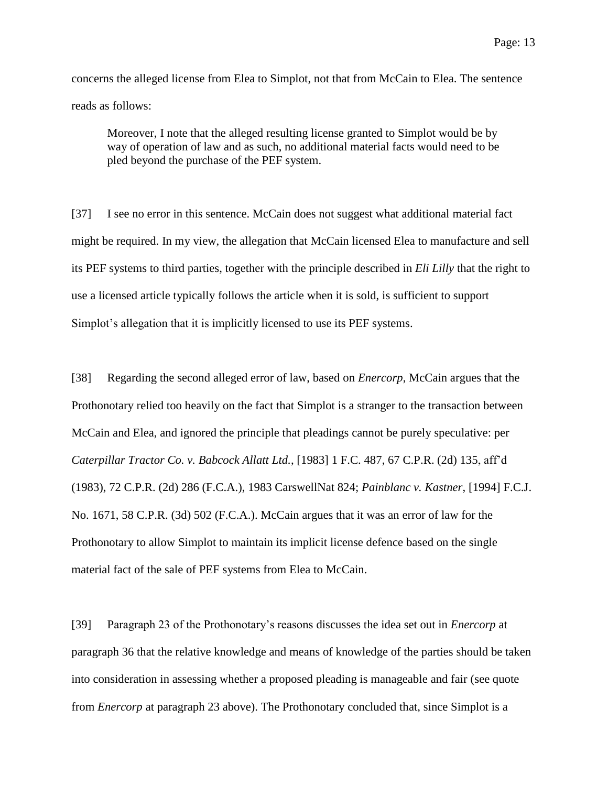Moreover, I note that the alleged resulting license granted to Simplot would be by way of operation of law and as such, no additional material facts would need to be pled beyond the purchase of the PEF system.

[37] I see no error in this sentence. McCain does not suggest what additional material fact might be required. In my view, the allegation that McCain licensed Elea to manufacture and sell its PEF systems to third parties, together with the principle described in *Eli Lilly* that the right to use a licensed article typically follows the article when it is sold, is sufficient to support Simplot's allegation that it is implicitly licensed to use its PEF systems.

[38] Regarding the second alleged error of law, based on *Enercorp*, McCain argues that the Prothonotary relied too heavily on the fact that Simplot is a stranger to the transaction between McCain and Elea, and ignored the principle that pleadings cannot be purely speculative: per *Caterpillar Tractor Co. v. Babcock Allatt Ltd.*, [1983] 1 F.C. 487, 67 C.P.R. (2d) 135, aff'd (1983), 72 C.P.R. (2d) 286 (F.C.A.), 1983 CarswellNat 824; *Painblanc v. Kastner*, [1994] F.C.J. No. 1671, 58 C.P.R. (3d) 502 (F.C.A.). McCain argues that it was an error of law for the Prothonotary to allow Simplot to maintain its implicit license defence based on the single material fact of the sale of PEF systems from Elea to McCain.

[39] Paragraph 23 of the Prothonotary's reasons discusses the idea set out in *Enercorp* at paragraph 36 that the relative knowledge and means of knowledge of the parties should be taken into consideration in assessing whether a proposed pleading is manageable and fair (see quote from *Enercorp* at paragraph 23 above). The Prothonotary concluded that, since Simplot is a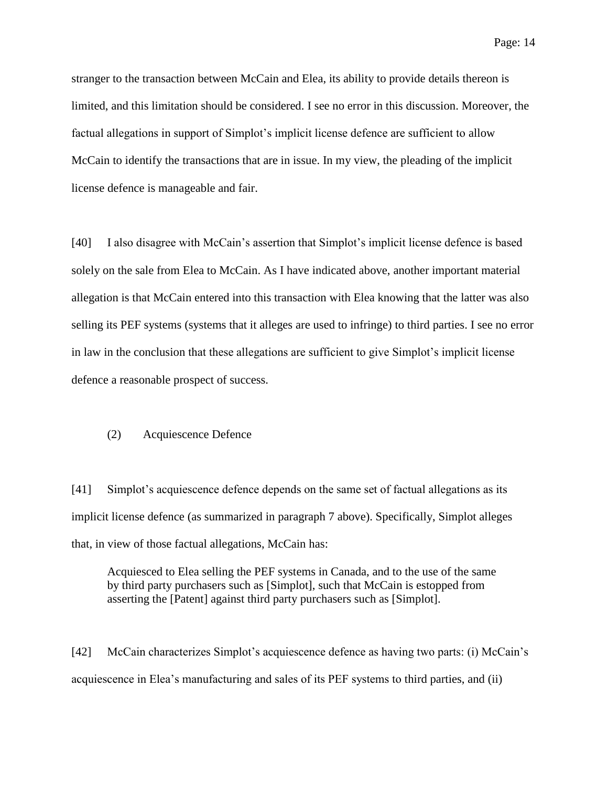Page: 14

stranger to the transaction between McCain and Elea, its ability to provide details thereon is limited, and this limitation should be considered. I see no error in this discussion. Moreover, the factual allegations in support of Simplot's implicit license defence are sufficient to allow McCain to identify the transactions that are in issue. In my view, the pleading of the implicit license defence is manageable and fair.

[40] I also disagree with McCain's assertion that Simplot's implicit license defence is based solely on the sale from Elea to McCain. As I have indicated above, another important material allegation is that McCain entered into this transaction with Elea knowing that the latter was also selling its PEF systems (systems that it alleges are used to infringe) to third parties. I see no error in law in the conclusion that these allegations are sufficient to give Simplot's implicit license defence a reasonable prospect of success.

## (2) Acquiescence Defence

[41] Simplot's acquiescence defence depends on the same set of factual allegations as its implicit license defence (as summarized in paragraph 7 above). Specifically, Simplot alleges that, in view of those factual allegations, McCain has:

Acquiesced to Elea selling the PEF systems in Canada, and to the use of the same by third party purchasers such as [Simplot], such that McCain is estopped from asserting the [Patent] against third party purchasers such as [Simplot].

[42] McCain characterizes Simplot's acquiescence defence as having two parts: (i) McCain's acquiescence in Elea's manufacturing and sales of its PEF systems to third parties, and (ii)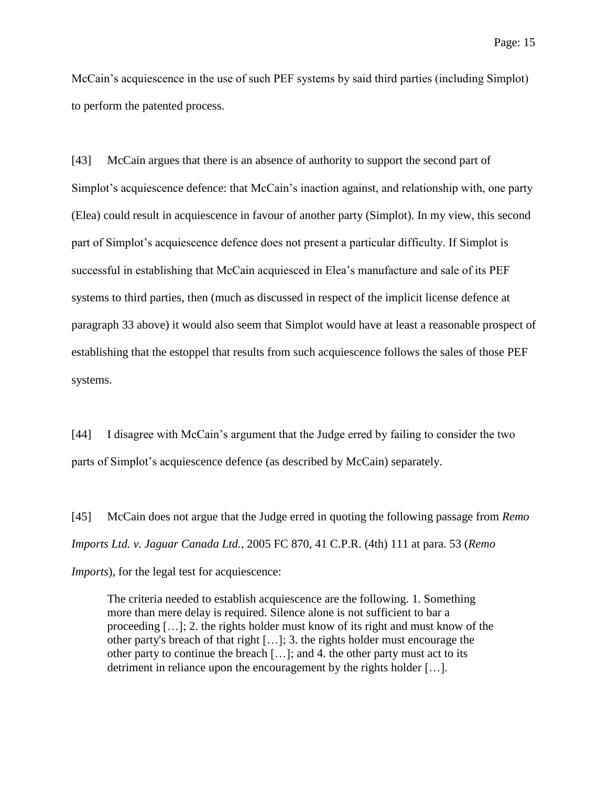McCain's acquiescence in the use of such PEF systems by said third parties (including Simplot) to perform the patented process.

[43] McCain argues that there is an absence of authority to support the second part of Simplot's acquiescence defence: that McCain's inaction against, and relationship with, one party (Elea) could result in acquiescence in favour of another party (Simplot). In my view, this second part of Simplot's acquiescence defence does not present a particular difficulty. If Simplot is successful in establishing that McCain acquiesced in Elea's manufacture and sale of its PEF systems to third parties, then (much as discussed in respect of the implicit license defence at paragraph 33 above) it would also seem that Simplot would have at least a reasonable prospect of establishing that the estoppel that results from such acquiescence follows the sales of those PEF systems.

[44] I disagree with McCain's argument that the Judge erred by failing to consider the two parts of Simplot's acquiescence defence (as described by McCain) separately.

[45] McCain does not argue that the Judge erred in quoting the following passage from *Remo Imports Ltd. v. Jaguar Canada Ltd.*, 2005 FC 870, 41 C.P.R. (4th) 111 at para. 53 (*Remo Imports*), for the legal test for acquiescence:

The criteria needed to establish acquiescence are the following. 1. Something more than mere delay is required. Silence alone is not sufficient to bar a proceeding […]; 2. the rights holder must know of its right and must know of the other party's breach of that right […]; 3. the rights holder must encourage the other party to continue the breach […]; and 4. the other party must act to its detriment in reliance upon the encouragement by the rights holder […].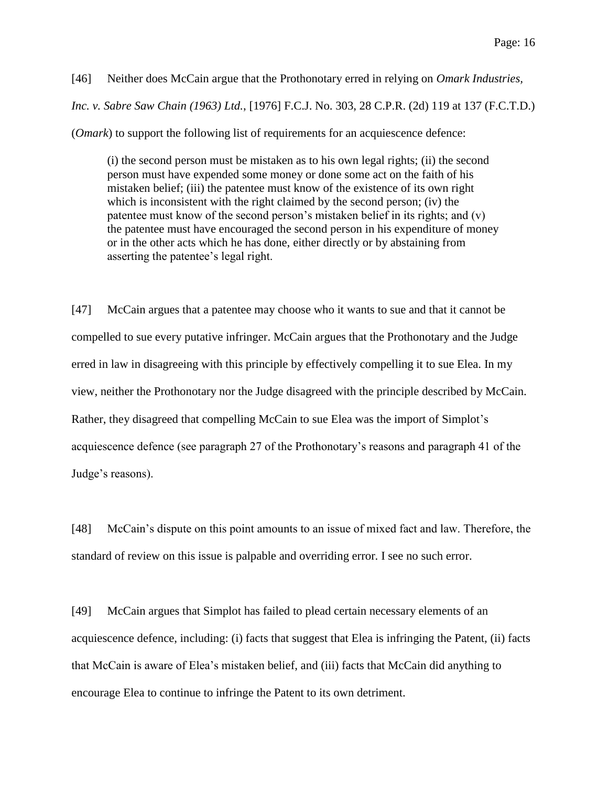[46] Neither does McCain argue that the Prothonotary erred in relying on *Omark Industries, Inc. v. Sabre Saw Chain (1963) Ltd.*, [1976] F.C.J. No. 303, 28 C.P.R. (2d) 119 at 137 (F.C.T.D.) (*Omark*) to support the following list of requirements for an acquiescence defence:

(i) the second person must be mistaken as to his own legal rights; (ii) the second person must have expended some money or done some act on the faith of his mistaken belief; (iii) the patentee must know of the existence of its own right which is inconsistent with the right claimed by the second person; (iv) the patentee must know of the second person's mistaken belief in its rights; and (v) the patentee must have encouraged the second person in his expenditure of money or in the other acts which he has done, either directly or by abstaining from asserting the patentee's legal right.

[47] McCain argues that a patentee may choose who it wants to sue and that it cannot be compelled to sue every putative infringer. McCain argues that the Prothonotary and the Judge erred in law in disagreeing with this principle by effectively compelling it to sue Elea. In my view, neither the Prothonotary nor the Judge disagreed with the principle described by McCain. Rather, they disagreed that compelling McCain to sue Elea was the import of Simplot's acquiescence defence (see paragraph 27 of the Prothonotary's reasons and paragraph 41 of the Judge's reasons).

[48] McCain's dispute on this point amounts to an issue of mixed fact and law. Therefore, the standard of review on this issue is palpable and overriding error. I see no such error.

[49] McCain argues that Simplot has failed to plead certain necessary elements of an acquiescence defence, including: (i) facts that suggest that Elea is infringing the Patent, (ii) facts that McCain is aware of Elea's mistaken belief, and (iii) facts that McCain did anything to encourage Elea to continue to infringe the Patent to its own detriment.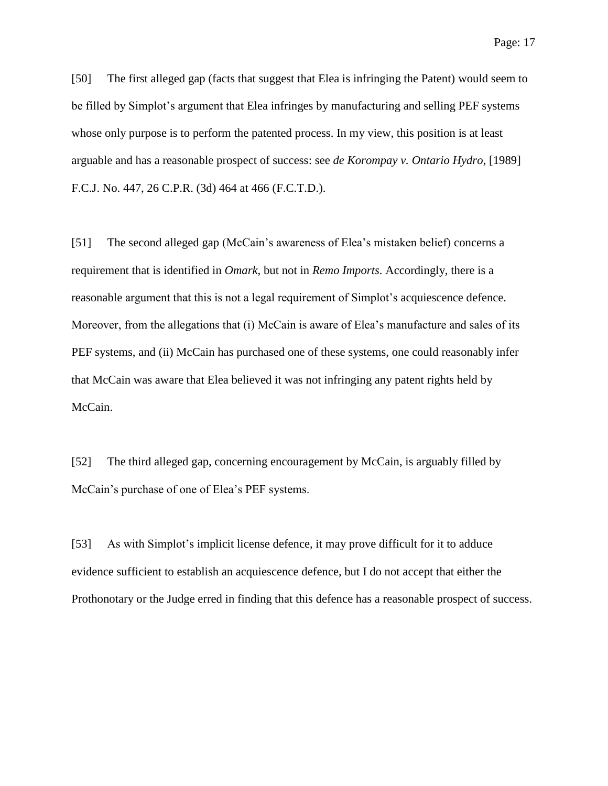[50] The first alleged gap (facts that suggest that Elea is infringing the Patent) would seem to be filled by Simplot's argument that Elea infringes by manufacturing and selling PEF systems whose only purpose is to perform the patented process. In my view, this position is at least arguable and has a reasonable prospect of success: see *de Korompay v. Ontario Hydro*, [1989] F.C.J. No. 447, 26 C.P.R. (3d) 464 at 466 (F.C.T.D.).

[51] The second alleged gap (McCain's awareness of Elea's mistaken belief) concerns a requirement that is identified in *Omark*, but not in *Remo Imports*. Accordingly, there is a reasonable argument that this is not a legal requirement of Simplot's acquiescence defence. Moreover, from the allegations that (i) McCain is aware of Elea's manufacture and sales of its PEF systems, and (ii) McCain has purchased one of these systems, one could reasonably infer that McCain was aware that Elea believed it was not infringing any patent rights held by McCain.

[52] The third alleged gap, concerning encouragement by McCain, is arguably filled by McCain's purchase of one of Elea's PEF systems.

[53] As with Simplot's implicit license defence, it may prove difficult for it to adduce evidence sufficient to establish an acquiescence defence, but I do not accept that either the Prothonotary or the Judge erred in finding that this defence has a reasonable prospect of success.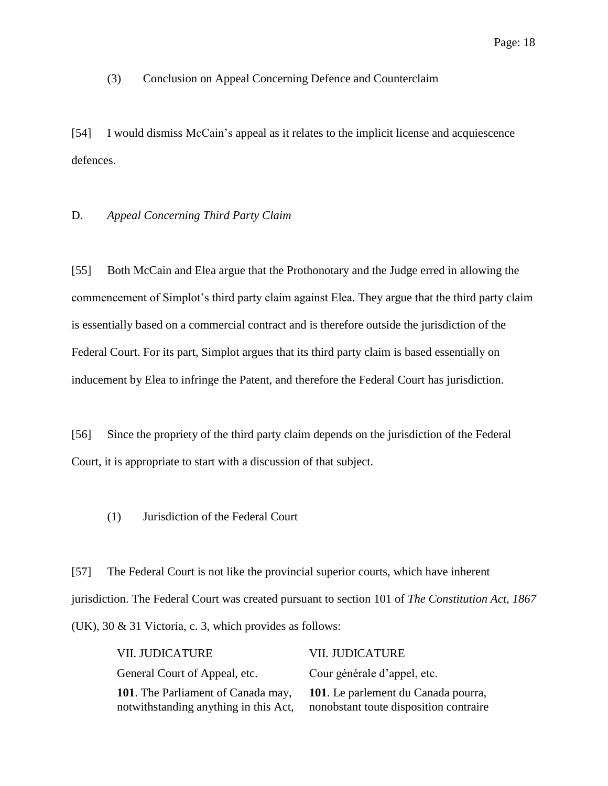# (3) Conclusion on Appeal Concerning Defence and Counterclaim

[54] I would dismiss McCain's appeal as it relates to the implicit license and acquiescence defences.

### D. *Appeal Concerning Third Party Claim*

[55] Both McCain and Elea argue that the Prothonotary and the Judge erred in allowing the commencement of Simplot's third party claim against Elea. They argue that the third party claim is essentially based on a commercial contract and is therefore outside the jurisdiction of the Federal Court. For its part, Simplot argues that its third party claim is based essentially on inducement by Elea to infringe the Patent, and therefore the Federal Court has jurisdiction.

[56] Since the propriety of the third party claim depends on the jurisdiction of the Federal Court, it is appropriate to start with a discussion of that subject.

(1) Jurisdiction of the Federal Court

[57] The Federal Court is not like the provincial superior courts, which have inherent jurisdiction. The Federal Court was created pursuant to section 101 of *The Constitution Act, 1867* (UK), 30 & 31 Victoria, c. 3, which provides as follows:

| <b>VII. JUDICATURE</b>                                                      | <b>VII. JUDICATURE</b>                                                        |
|-----------------------------------------------------------------------------|-------------------------------------------------------------------------------|
| General Court of Appeal, etc.                                               | Cour générale d'appel, etc.                                                   |
| 101. The Parliament of Canada may,<br>notwithstanding anything in this Act, | 101. Le parlement du Canada pourra,<br>nonobstant toute disposition contraire |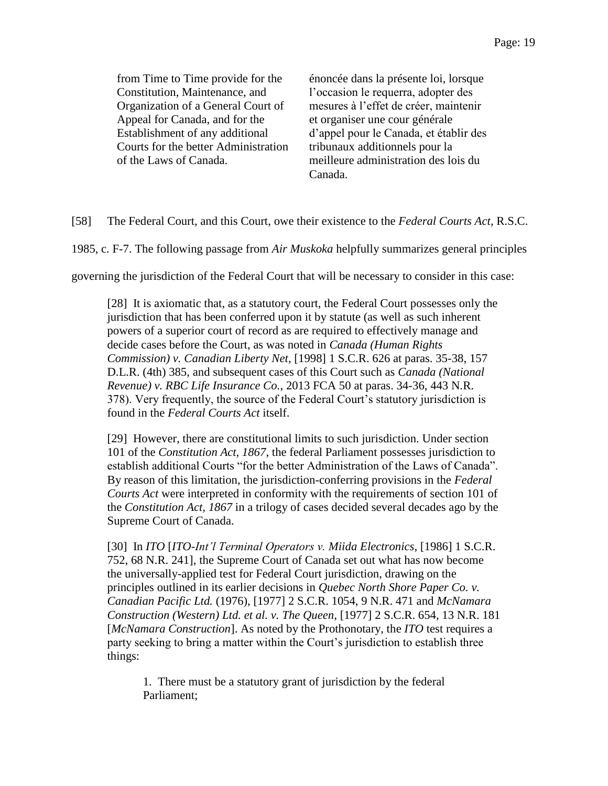from Time to Time provide for the Constitution, Maintenance, and Organization of a General Court of Appeal for Canada, and for the Establishment of any additional Courts for the better Administration of the Laws of Canada.

énoncée dans la présente loi, lorsque l'occasion le requerra, adopter des mesures à l'effet de créer, maintenir et organiser une cour générale d'appel pour le Canada, et établir des tribunaux additionnels pour la meilleure administration des lois du Canada.

[58] The Federal Court, and this Court, owe their existence to the *Federal Courts Act*, R.S.C.

1985, c. F-7. The following passage from *Air Muskoka* helpfully summarizes general principles

governing the jurisdiction of the Federal Court that will be necessary to consider in this case:

[28] It is axiomatic that, as a statutory court, the Federal Court possesses only the jurisdiction that has been conferred upon it by statute (as well as such inherent powers of a superior court of record as are required to effectively manage and decide cases before the Court, as was noted in *Canada (Human Rights Commission) v. Canadian Liberty Net*, [1998] 1 S.C.R. 626 at paras. 35-38, 157 D.L.R. (4th) 385, and subsequent cases of this Court such as *Canada (National Revenue) v. RBC Life Insurance Co.*, 2013 FCA 50 at paras. 34-36, 443 N.R. 378). Very frequently, the source of the Federal Court's statutory jurisdiction is found in the *Federal Courts Act* itself.

[29] However, there are constitutional limits to such jurisdiction. Under section 101 of the *Constitution Act, 1867*, the federal Parliament possesses jurisdiction to establish additional Courts "for the better Administration of the Laws of Canada". By reason of this limitation, the jurisdiction-conferring provisions in the *Federal Courts Act* were interpreted in conformity with the requirements of section 101 of the *Constitution Act, 1867* in a trilogy of cases decided several decades ago by the Supreme Court of Canada.

[30] In *ITO* [*ITO-Int'l Terminal Operators v. Miida Electronics*, [1986] 1 S.C.R. 752, 68 N.R. 241], the Supreme Court of Canada set out what has now become the universally-applied test for Federal Court jurisdiction, drawing on the principles outlined in its earlier decisions in *Quebec North Shore Paper Co. v. Canadian Pacific Ltd.* (1976), [1977] 2 S.C.R. 1054, 9 N.R. 471 and *McNamara Construction (Western) Ltd. et al. v. The Queen*, [1977] 2 S.C.R. 654, 13 N.R. 181 [*McNamara Construction*]. As noted by the Prothonotary, the *ITO* test requires a party seeking to bring a matter within the Court's jurisdiction to establish three things:

1. There must be a statutory grant of jurisdiction by the federal Parliament;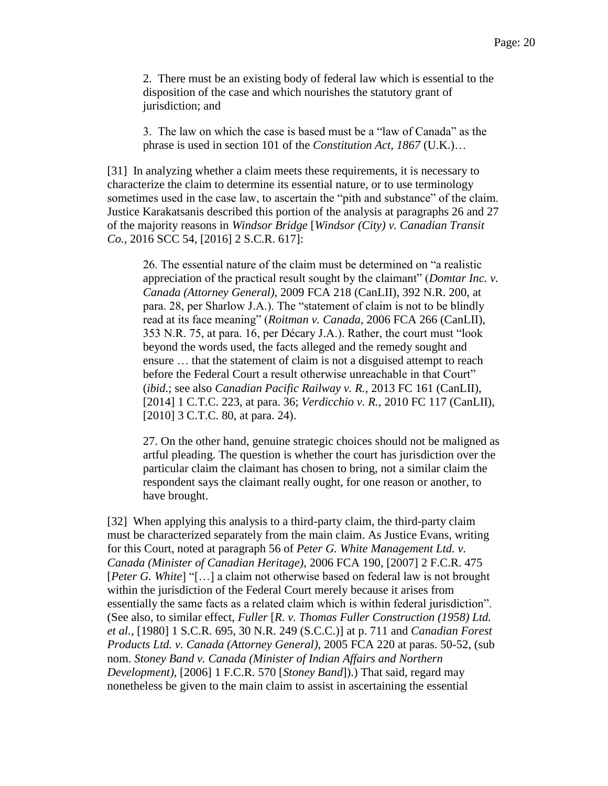2. There must be an existing body of federal law which is essential to the disposition of the case and which nourishes the statutory grant of jurisdiction; and

3. The law on which the case is based must be a "law of Canada" as the phrase is used in section 101 of the *Constitution Act, 1867* (U.K.)…

[31] In analyzing whether a claim meets these requirements, it is necessary to characterize the claim to determine its essential nature, or to use terminology sometimes used in the case law, to ascertain the "pith and substance" of the claim. Justice Karakatsanis described this portion of the analysis at paragraphs 26 and 27 of the majority reasons in *Windsor Bridge* [*Windsor (City) v. Canadian Transit Co.*, 2016 SCC 54, [2016] 2 S.C.R. 617]:

26. The essential nature of the claim must be determined on "a realistic appreciation of the practical result sought by the claimant" (*Domtar Inc. v. Canada (Attorney General)*, 2009 FCA 218 (CanLII), 392 N.R. 200, at para. 28, per Sharlow J.A.). The "statement of claim is not to be blindly read at its face meaning" (*Roitman v. Canada*, 2006 FCA 266 (CanLII), 353 N.R. 75, at para. 16, per Décary J.A.). Rather, the court must "look beyond the words used, the facts alleged and the remedy sought and ensure … that the statement of claim is not a disguised attempt to reach before the Federal Court a result otherwise unreachable in that Court" (*ibid*.; see also *Canadian Pacific Railway v. R.*, 2013 FC 161 (CanLII), [2014] 1 C.T.C. 223, at para. 36; *Verdicchio v. R.*, 2010 FC 117 (CanLII), [2010] 3 C.T.C. 80, at para. 24).

27. On the other hand, genuine strategic choices should not be maligned as artful pleading. The question is whether the court has jurisdiction over the particular claim the claimant has chosen to bring, not a similar claim the respondent says the claimant really ought, for one reason or another, to have brought.

[32] When applying this analysis to a third-party claim, the third-party claim must be characterized separately from the main claim. As Justice Evans, writing for this Court, noted at paragraph 56 of *Peter G. White Management Ltd. v. Canada (Minister of Canadian Heritage)*, 2006 FCA 190, [2007] 2 F.C.R. 475 [*Peter G. White*] "[…] a claim not otherwise based on federal law is not brought within the jurisdiction of the Federal Court merely because it arises from essentially the same facts as a related claim which is within federal jurisdiction". (See also, to similar effect, *Fuller* [*R. v. Thomas Fuller Construction (1958) Ltd. et al.*, [1980] 1 S.C.R. 695, 30 N.R. 249 (S.C.C.)] at p. 711 and *Canadian Forest Products Ltd. v. Canada (Attorney General)*, 2005 FCA 220 at paras. 50-52, (sub nom. *Stoney Band v. Canada (Minister of Indian Affairs and Northern Development)*, [2006] 1 F.C.R. 570 [*Stoney Band*]).) That said, regard may nonetheless be given to the main claim to assist in ascertaining the essential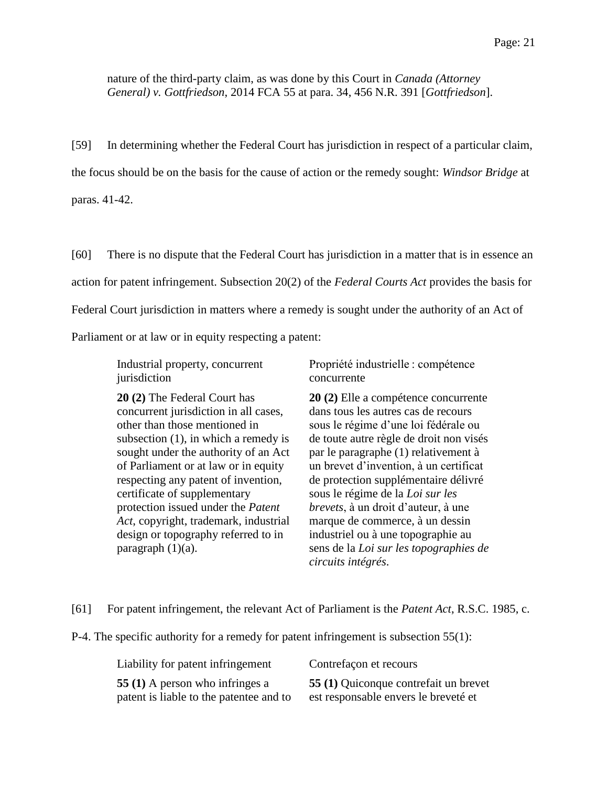nature of the third-party claim, as was done by this Court in *Canada (Attorney General) v. Gottfriedson*, 2014 FCA 55 at para. 34, 456 N.R. 391 [*Gottfriedson*].

[59] In determining whether the Federal Court has jurisdiction in respect of a particular claim, the focus should be on the basis for the cause of action or the remedy sought: *Windsor Bridge* at paras. 41-42.

[60] There is no dispute that the Federal Court has jurisdiction in a matter that is in essence an action for patent infringement. Subsection 20(2) of the *Federal Courts Act* provides the basis for Federal Court jurisdiction in matters where a remedy is sought under the authority of an Act of Parliament or at law or in equity respecting a patent:

Industrial property, concurrent jurisdiction

**20 (2)** The Federal Court has concurrent jurisdiction in all cases, other than those mentioned in subsection (1), in which a remedy is sought under the authority of an Act of Parliament or at law or in equity respecting any patent of invention, certificate of supplementary protection issued under the *Patent Act*, copyright, trademark, industrial design or topography referred to in paragraph  $(1)(a)$ .

Propriété industrielle : compétence concurrente

**20 (2)** Elle a compétence concurrente dans tous les autres cas de recours sous le régime d'une loi fédérale ou de toute autre règle de droit non visés par le paragraphe (1) relativement à un brevet d'invention, à un certificat de protection supplémentaire délivré sous le régime de la *Loi sur les brevets*, à un droit d'auteur, à une marque de commerce, à un dessin industriel ou à une topographie au sens de la *Loi sur les topographies de circuits intégrés*.

[61] For patent infringement, the relevant Act of Parliament is the *Patent Act*, R.S.C. 1985, c.

P-4. The specific authority for a remedy for patent infringement is subsection 55(1):

| Liability for patent infringement       | Contrefaçon et recours                |
|-----------------------------------------|---------------------------------------|
| 55 (1) A person who infringes a         | 55 (1) Quiconque contrefait un brevet |
| patent is liable to the patentee and to | est responsable envers le breveté et  |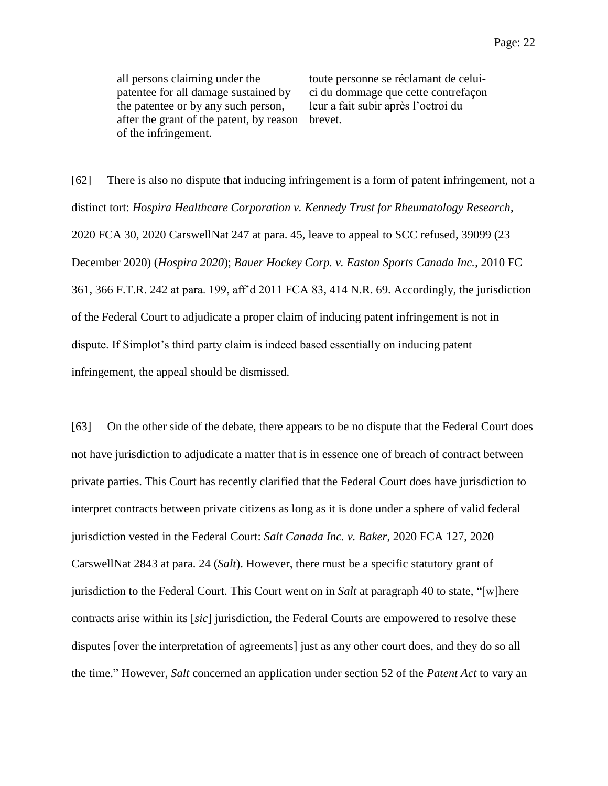all persons claiming under the patentee for all damage sustained by the patentee or by any such person, after the grant of the patent, by reason of the infringement.

toute personne se réclamant de celuici du dommage que cette contrefaçon leur a fait subir après l'octroi du brevet.

[62] There is also no dispute that inducing infringement is a form of patent infringement, not a distinct tort: *Hospira Healthcare Corporation v. Kennedy Trust for Rheumatology Research*, 2020 FCA 30, 2020 CarswellNat 247 at para. 45, leave to appeal to SCC refused, 39099 (23 December 2020) (*Hospira 2020*); *Bauer Hockey Corp. v. Easton Sports Canada Inc.*, 2010 FC 361, 366 F.T.R. 242 at para. 199, aff'd 2011 FCA 83, 414 N.R. 69. Accordingly, the jurisdiction of the Federal Court to adjudicate a proper claim of inducing patent infringement is not in dispute. If Simplot's third party claim is indeed based essentially on inducing patent infringement, the appeal should be dismissed.

[63] On the other side of the debate, there appears to be no dispute that the Federal Court does not have jurisdiction to adjudicate a matter that is in essence one of breach of contract between private parties. This Court has recently clarified that the Federal Court does have jurisdiction to interpret contracts between private citizens as long as it is done under a sphere of valid federal jurisdiction vested in the Federal Court: *Salt Canada Inc. v. Baker*, 2020 FCA 127, 2020 CarswellNat 2843 at para. 24 (*Salt*). However, there must be a specific statutory grant of jurisdiction to the Federal Court. This Court went on in *Salt* at paragraph 40 to state, "[w]here contracts arise within its [*sic*] jurisdiction, the Federal Courts are empowered to resolve these disputes [over the interpretation of agreements] just as any other court does, and they do so all the time." However, *Salt* concerned an application under section 52 of the *Patent Act* to vary an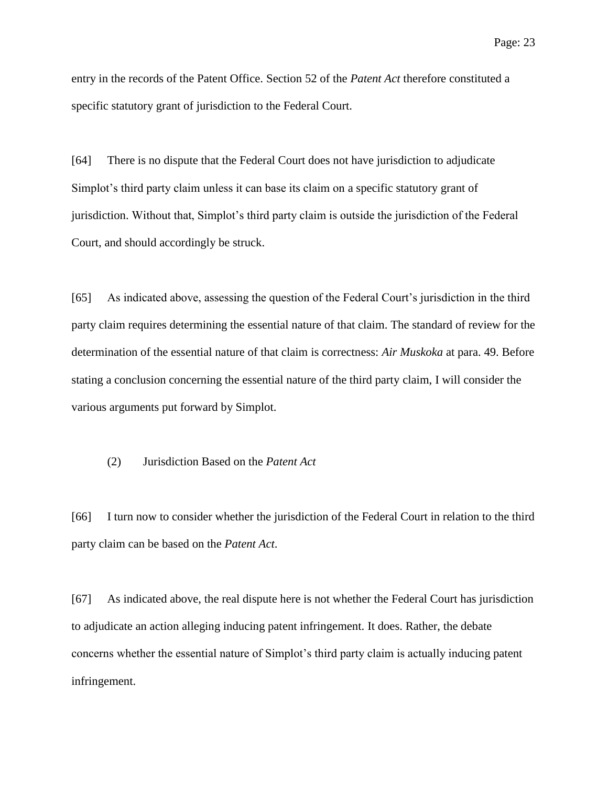entry in the records of the Patent Office. Section 52 of the *Patent Act* therefore constituted a specific statutory grant of jurisdiction to the Federal Court.

[64] There is no dispute that the Federal Court does not have jurisdiction to adjudicate Simplot's third party claim unless it can base its claim on a specific statutory grant of jurisdiction. Without that, Simplot's third party claim is outside the jurisdiction of the Federal Court, and should accordingly be struck.

[65] As indicated above, assessing the question of the Federal Court's jurisdiction in the third party claim requires determining the essential nature of that claim. The standard of review for the determination of the essential nature of that claim is correctness: *Air Muskoka* at para. 49. Before stating a conclusion concerning the essential nature of the third party claim, I will consider the various arguments put forward by Simplot.

# (2) Jurisdiction Based on the *Patent Act*

[66] I turn now to consider whether the jurisdiction of the Federal Court in relation to the third party claim can be based on the *Patent Act*.

[67] As indicated above, the real dispute here is not whether the Federal Court has jurisdiction to adjudicate an action alleging inducing patent infringement. It does. Rather, the debate concerns whether the essential nature of Simplot's third party claim is actually inducing patent infringement.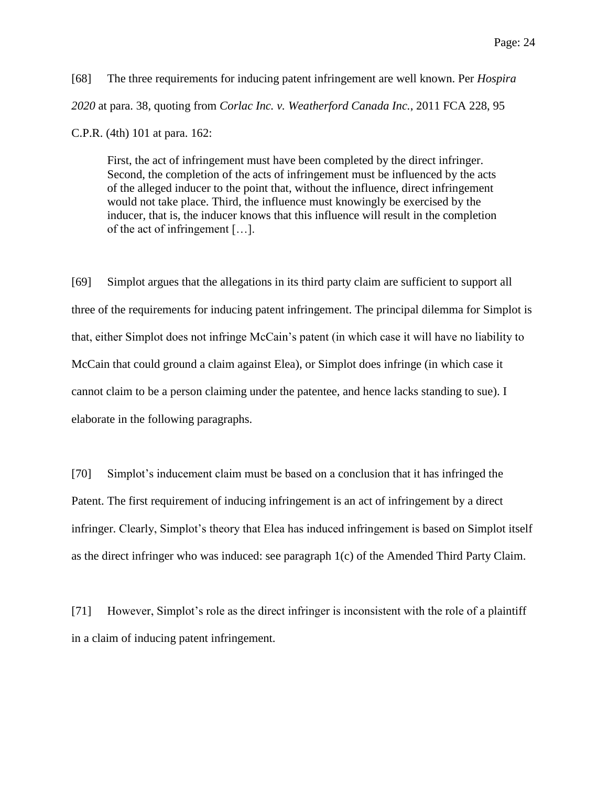[68] The three requirements for inducing patent infringement are well known. Per *Hospira 2020* at para. 38, quoting from *Corlac Inc. v. Weatherford Canada Inc.*, 2011 FCA 228, 95 C.P.R. (4th) 101 at para. 162:

First, the act of infringement must have been completed by the direct infringer. Second, the completion of the acts of infringement must be influenced by the acts of the alleged inducer to the point that, without the influence, direct infringement would not take place. Third, the influence must knowingly be exercised by the inducer, that is, the inducer knows that this influence will result in the completion of the act of infringement […].

[69] Simplot argues that the allegations in its third party claim are sufficient to support all three of the requirements for inducing patent infringement. The principal dilemma for Simplot is that, either Simplot does not infringe McCain's patent (in which case it will have no liability to McCain that could ground a claim against Elea), or Simplot does infringe (in which case it cannot claim to be a person claiming under the patentee, and hence lacks standing to sue). I elaborate in the following paragraphs.

[70] Simplot's inducement claim must be based on a conclusion that it has infringed the Patent. The first requirement of inducing infringement is an act of infringement by a direct infringer. Clearly, Simplot's theory that Elea has induced infringement is based on Simplot itself as the direct infringer who was induced: see paragraph 1(c) of the Amended Third Party Claim.

[71] However, Simplot's role as the direct infringer is inconsistent with the role of a plaintiff in a claim of inducing patent infringement.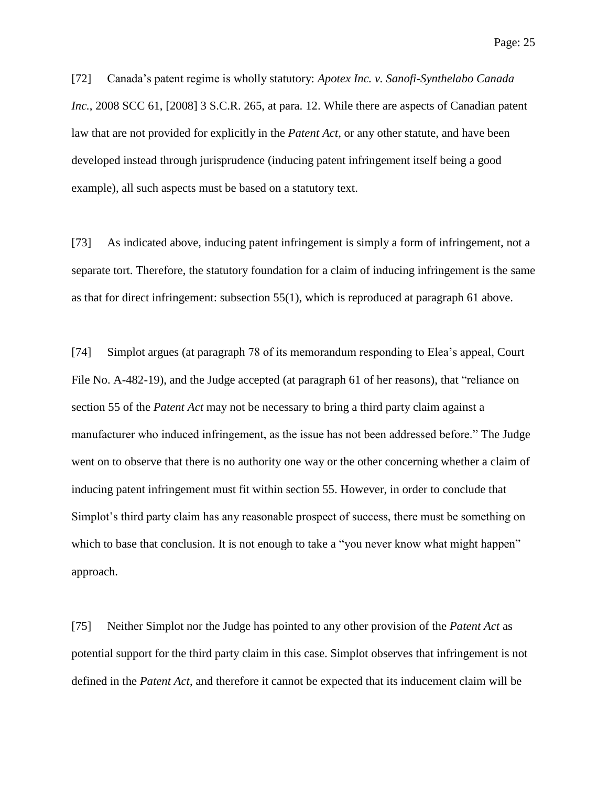Page: 25

[72] Canada's patent regime is wholly statutory: *Apotex Inc. v. Sanofi-Synthelabo Canada Inc.*, 2008 SCC 61, [2008] 3 S.C.R. 265, at para. 12. While there are aspects of Canadian patent law that are not provided for explicitly in the *Patent Act*, or any other statute, and have been developed instead through jurisprudence (inducing patent infringement itself being a good example), all such aspects must be based on a statutory text.

[73] As indicated above, inducing patent infringement is simply a form of infringement, not a separate tort. Therefore, the statutory foundation for a claim of inducing infringement is the same as that for direct infringement: subsection 55(1), which is reproduced at paragraph 61 above.

[74] Simplot argues (at paragraph 78 of its memorandum responding to Elea's appeal, Court File No. A-482-19), and the Judge accepted (at paragraph 61 of her reasons), that "reliance on section 55 of the *Patent Act* may not be necessary to bring a third party claim against a manufacturer who induced infringement, as the issue has not been addressed before." The Judge went on to observe that there is no authority one way or the other concerning whether a claim of inducing patent infringement must fit within section 55. However, in order to conclude that Simplot's third party claim has any reasonable prospect of success, there must be something on which to base that conclusion. It is not enough to take a "you never know what might happen" approach.

[75] Neither Simplot nor the Judge has pointed to any other provision of the *Patent Act* as potential support for the third party claim in this case. Simplot observes that infringement is not defined in the *Patent Act*, and therefore it cannot be expected that its inducement claim will be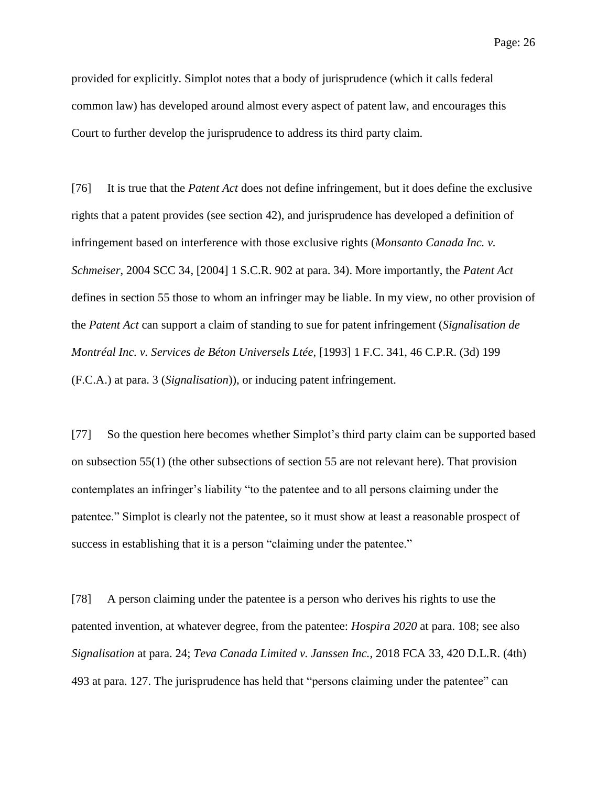provided for explicitly. Simplot notes that a body of jurisprudence (which it calls federal common law) has developed around almost every aspect of patent law, and encourages this Court to further develop the jurisprudence to address its third party claim.

[76] It is true that the *Patent Act* does not define infringement, but it does define the exclusive rights that a patent provides (see section 42), and jurisprudence has developed a definition of infringement based on interference with those exclusive rights (*Monsanto Canada Inc. v. Schmeiser*, 2004 SCC 34, [2004] 1 S.C.R. 902 at para. 34). More importantly, the *Patent Act* defines in section 55 those to whom an infringer may be liable. In my view, no other provision of the *Patent Act* can support a claim of standing to sue for patent infringement (*Signalisation de Montréal Inc. v. Services de Béton Universels Ltée*, [1993] 1 F.C. 341, 46 C.P.R. (3d) 199 (F.C.A.) at para. 3 (*Signalisation*)), or inducing patent infringement.

[77] So the question here becomes whether Simplot's third party claim can be supported based on subsection 55(1) (the other subsections of section 55 are not relevant here). That provision contemplates an infringer's liability "to the patentee and to all persons claiming under the patentee." Simplot is clearly not the patentee, so it must show at least a reasonable prospect of success in establishing that it is a person "claiming under the patentee."

[78] A person claiming under the patentee is a person who derives his rights to use the patented invention, at whatever degree, from the patentee: *Hospira 2020* at para. 108; see also *Signalisation* at para. 24; *Teva Canada Limited v. Janssen Inc.*, 2018 FCA 33, 420 D.L.R. (4th) 493 at para. 127. The jurisprudence has held that "persons claiming under the patentee" can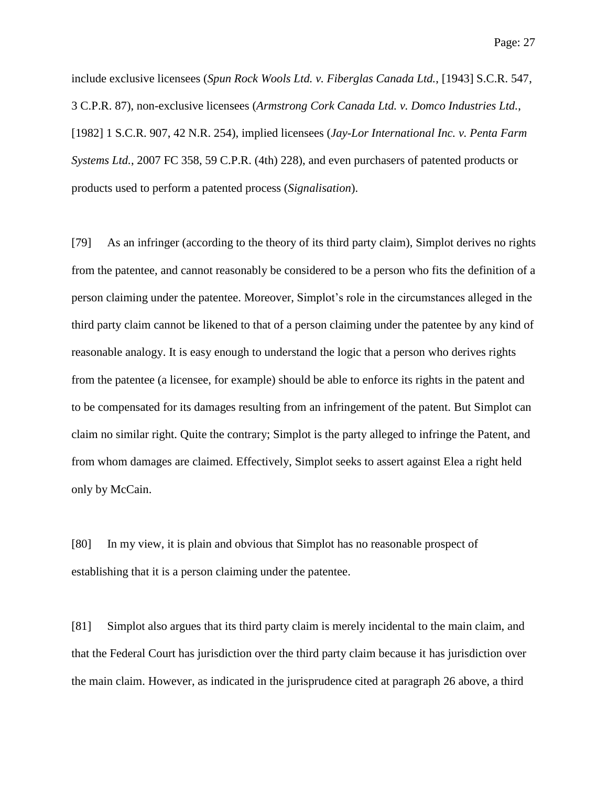include exclusive licensees (*Spun Rock Wools Ltd. v. Fiberglas Canada Ltd.*, [1943] S.C.R. 547, 3 C.P.R. 87), non-exclusive licensees (*Armstrong Cork Canada Ltd. v. Domco Industries Ltd.*, [1982] 1 S.C.R. 907, 42 N.R. 254), implied licensees (*Jay-Lor International Inc. v. Penta Farm Systems Ltd.*, 2007 FC 358, 59 C.P.R. (4th) 228), and even purchasers of patented products or products used to perform a patented process (*Signalisation*).

[79] As an infringer (according to the theory of its third party claim), Simplot derives no rights from the patentee, and cannot reasonably be considered to be a person who fits the definition of a person claiming under the patentee. Moreover, Simplot's role in the circumstances alleged in the third party claim cannot be likened to that of a person claiming under the patentee by any kind of reasonable analogy. It is easy enough to understand the logic that a person who derives rights from the patentee (a licensee, for example) should be able to enforce its rights in the patent and to be compensated for its damages resulting from an infringement of the patent. But Simplot can claim no similar right. Quite the contrary; Simplot is the party alleged to infringe the Patent, and from whom damages are claimed. Effectively, Simplot seeks to assert against Elea a right held only by McCain.

[80] In my view, it is plain and obvious that Simplot has no reasonable prospect of establishing that it is a person claiming under the patentee.

[81] Simplot also argues that its third party claim is merely incidental to the main claim, and that the Federal Court has jurisdiction over the third party claim because it has jurisdiction over the main claim. However, as indicated in the jurisprudence cited at paragraph 26 above, a third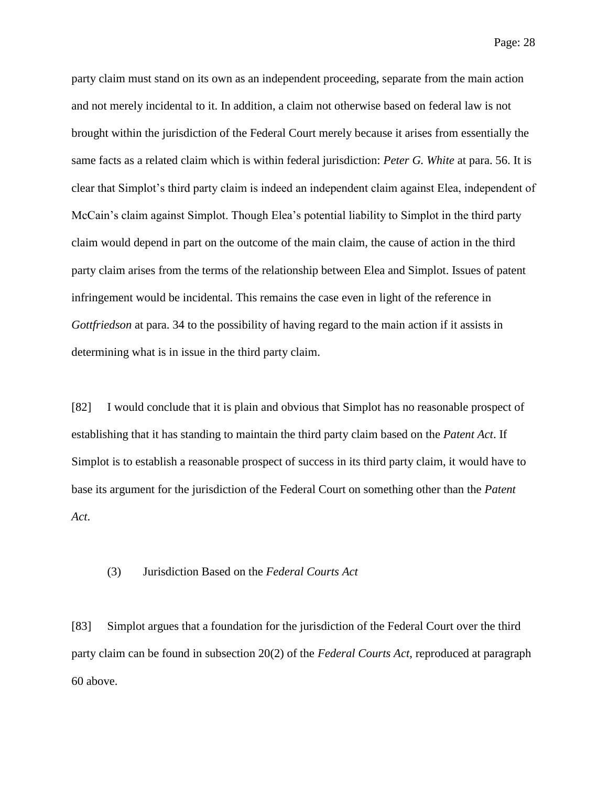party claim must stand on its own as an independent proceeding, separate from the main action and not merely incidental to it. In addition, a claim not otherwise based on federal law is not brought within the jurisdiction of the Federal Court merely because it arises from essentially the same facts as a related claim which is within federal jurisdiction: *Peter G. White* at para. 56. It is clear that Simplot's third party claim is indeed an independent claim against Elea, independent of McCain's claim against Simplot. Though Elea's potential liability to Simplot in the third party claim would depend in part on the outcome of the main claim, the cause of action in the third party claim arises from the terms of the relationship between Elea and Simplot. Issues of patent infringement would be incidental. This remains the case even in light of the reference in *Gottfriedson* at para. 34 to the possibility of having regard to the main action if it assists in determining what is in issue in the third party claim.

[82] I would conclude that it is plain and obvious that Simplot has no reasonable prospect of establishing that it has standing to maintain the third party claim based on the *Patent Act*. If Simplot is to establish a reasonable prospect of success in its third party claim, it would have to base its argument for the jurisdiction of the Federal Court on something other than the *Patent Act*.

## (3) Jurisdiction Based on the *Federal Courts Act*

[83] Simplot argues that a foundation for the jurisdiction of the Federal Court over the third party claim can be found in subsection 20(2) of the *Federal Courts Act*, reproduced at paragraph 60 above.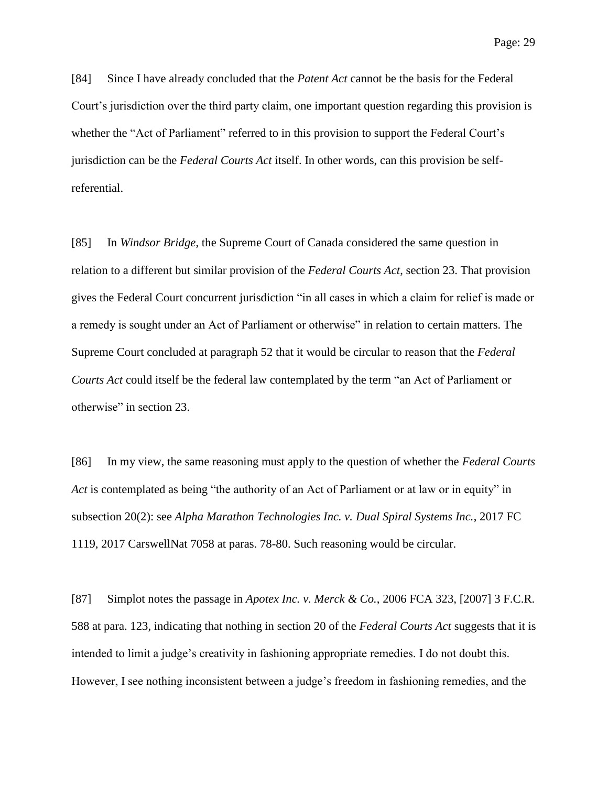Page: 29

[84] Since I have already concluded that the *Patent Act* cannot be the basis for the Federal Court's jurisdiction over the third party claim, one important question regarding this provision is whether the "Act of Parliament" referred to in this provision to support the Federal Court's jurisdiction can be the *Federal Courts Act* itself. In other words, can this provision be selfreferential.

[85] In *Windsor Bridge*, the Supreme Court of Canada considered the same question in relation to a different but similar provision of the *Federal Courts Act*, section 23. That provision gives the Federal Court concurrent jurisdiction "in all cases in which a claim for relief is made or a remedy is sought under an Act of Parliament or otherwise" in relation to certain matters. The Supreme Court concluded at paragraph 52 that it would be circular to reason that the *Federal Courts Act* could itself be the federal law contemplated by the term "an Act of Parliament or otherwise" in section 23.

[86] In my view, the same reasoning must apply to the question of whether the *Federal Courts Act* is contemplated as being "the authority of an Act of Parliament or at law or in equity" in subsection 20(2): see *Alpha Marathon Technologies Inc. v. Dual Spiral Systems Inc.*, 2017 FC 1119, 2017 CarswellNat 7058 at paras. 78-80. Such reasoning would be circular.

[87] Simplot notes the passage in *Apotex Inc. v. Merck & Co.*, 2006 FCA 323, [2007] 3 F.C.R. 588 at para. 123, indicating that nothing in section 20 of the *Federal Courts Act* suggests that it is intended to limit a judge's creativity in fashioning appropriate remedies. I do not doubt this. However, I see nothing inconsistent between a judge's freedom in fashioning remedies, and the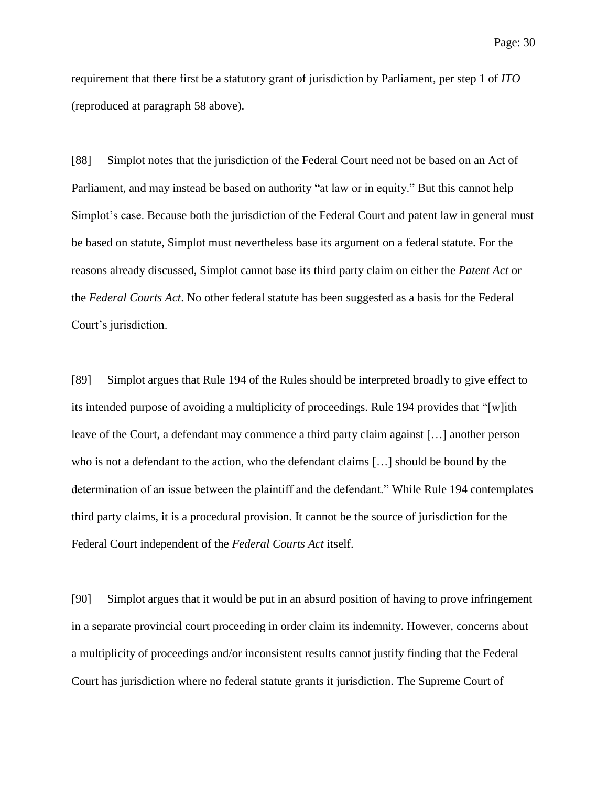requirement that there first be a statutory grant of jurisdiction by Parliament, per step 1 of *ITO* (reproduced at paragraph 58 above).

[88] Simplot notes that the jurisdiction of the Federal Court need not be based on an Act of Parliament, and may instead be based on authority "at law or in equity." But this cannot help Simplot's case. Because both the jurisdiction of the Federal Court and patent law in general must be based on statute, Simplot must nevertheless base its argument on a federal statute. For the reasons already discussed, Simplot cannot base its third party claim on either the *Patent Act* or the *Federal Courts Act*. No other federal statute has been suggested as a basis for the Federal Court's jurisdiction.

[89] Simplot argues that Rule 194 of the Rules should be interpreted broadly to give effect to its intended purpose of avoiding a multiplicity of proceedings. Rule 194 provides that "[w]ith leave of the Court, a defendant may commence a third party claim against […] another person who is not a defendant to the action, who the defendant claims […] should be bound by the determination of an issue between the plaintiff and the defendant." While Rule 194 contemplates third party claims, it is a procedural provision. It cannot be the source of jurisdiction for the Federal Court independent of the *Federal Courts Act* itself.

[90] Simplot argues that it would be put in an absurd position of having to prove infringement in a separate provincial court proceeding in order claim its indemnity. However, concerns about a multiplicity of proceedings and/or inconsistent results cannot justify finding that the Federal Court has jurisdiction where no federal statute grants it jurisdiction. The Supreme Court of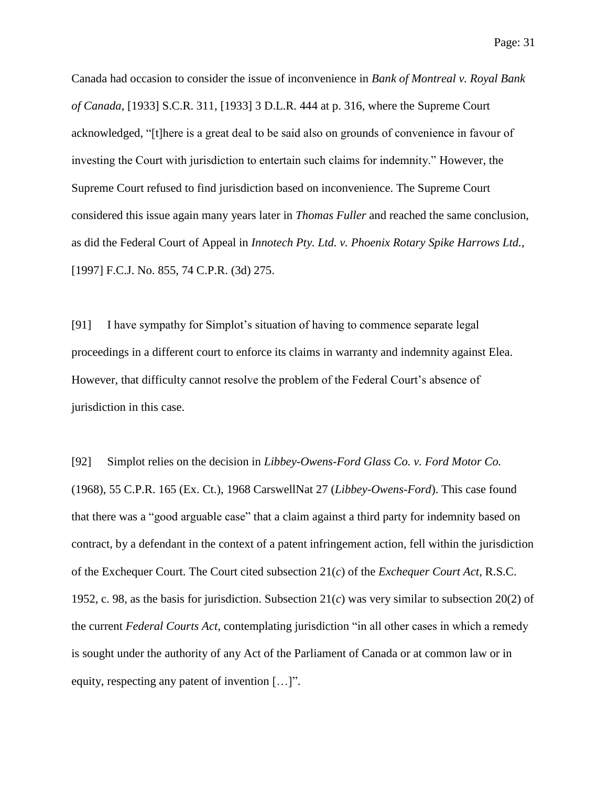Page: 31

Canada had occasion to consider the issue of inconvenience in *Bank of Montreal v. Royal Bank of Canada*, [1933] S.C.R. 311, [1933] 3 D.L.R. 444 at p. 316, where the Supreme Court acknowledged, "[t]here is a great deal to be said also on grounds of convenience in favour of investing the Court with jurisdiction to entertain such claims for indemnity." However, the Supreme Court refused to find jurisdiction based on inconvenience. The Supreme Court considered this issue again many years later in *Thomas Fuller* and reached the same conclusion, as did the Federal Court of Appeal in *Innotech Pty. Ltd. v. Phoenix Rotary Spike Harrows Ltd.*, [1997] F.C.J. No. 855, 74 C.P.R. (3d) 275.

[91] I have sympathy for Simplot's situation of having to commence separate legal proceedings in a different court to enforce its claims in warranty and indemnity against Elea. However, that difficulty cannot resolve the problem of the Federal Court's absence of jurisdiction in this case.

[92] Simplot relies on the decision in *Libbey-Owens-Ford Glass Co. v. Ford Motor Co.* (1968), 55 C.P.R. 165 (Ex. Ct.), 1968 CarswellNat 27 (*Libbey-Owens-Ford*). This case found that there was a "good arguable case" that a claim against a third party for indemnity based on contract, by a defendant in the context of a patent infringement action, fell within the jurisdiction of the Exchequer Court. The Court cited subsection 21(*c*) of the *Exchequer Court Act*, R.S.C. 1952, c. 98, as the basis for jurisdiction. Subsection  $21(c)$  was very similar to subsection  $20(2)$  of the current *Federal Courts Act*, contemplating jurisdiction "in all other cases in which a remedy is sought under the authority of any Act of the Parliament of Canada or at common law or in equity, respecting any patent of invention […]".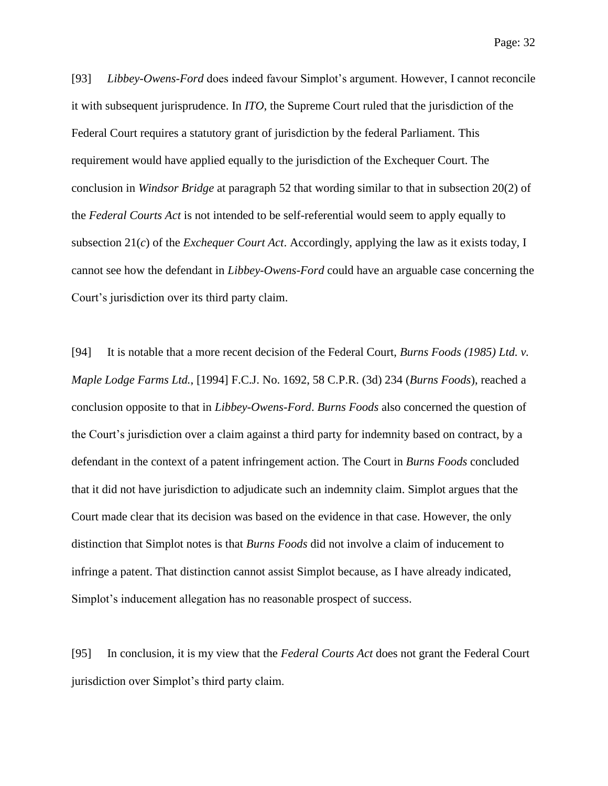[93] *Libbey-Owens-Ford* does indeed favour Simplot's argument. However, I cannot reconcile it with subsequent jurisprudence. In *ITO*, the Supreme Court ruled that the jurisdiction of the Federal Court requires a statutory grant of jurisdiction by the federal Parliament. This requirement would have applied equally to the jurisdiction of the Exchequer Court. The conclusion in *Windsor Bridge* at paragraph 52 that wording similar to that in subsection 20(2) of the *Federal Courts Act* is not intended to be self-referential would seem to apply equally to subsection 21(*c*) of the *Exchequer Court Act*. Accordingly, applying the law as it exists today, I cannot see how the defendant in *Libbey-Owens-Ford* could have an arguable case concerning the Court's jurisdiction over its third party claim.

[94] It is notable that a more recent decision of the Federal Court, *Burns Foods (1985) Ltd. v. Maple Lodge Farms Ltd.*, [1994] F.C.J. No. 1692, 58 C.P.R. (3d) 234 (*Burns Foods*), reached a conclusion opposite to that in *Libbey-Owens-Ford*. *Burns Foods* also concerned the question of the Court's jurisdiction over a claim against a third party for indemnity based on contract, by a defendant in the context of a patent infringement action. The Court in *Burns Foods* concluded that it did not have jurisdiction to adjudicate such an indemnity claim. Simplot argues that the Court made clear that its decision was based on the evidence in that case. However, the only distinction that Simplot notes is that *Burns Foods* did not involve a claim of inducement to infringe a patent. That distinction cannot assist Simplot because, as I have already indicated, Simplot's inducement allegation has no reasonable prospect of success.

[95] In conclusion, it is my view that the *Federal Courts Act* does not grant the Federal Court jurisdiction over Simplot's third party claim.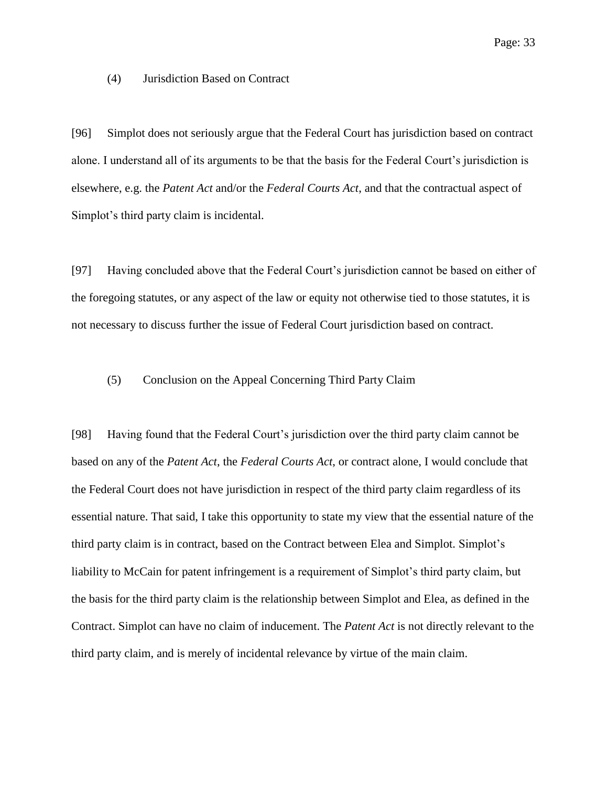(4) Jurisdiction Based on Contract

[96] Simplot does not seriously argue that the Federal Court has jurisdiction based on contract alone. I understand all of its arguments to be that the basis for the Federal Court's jurisdiction is elsewhere, e.g. the *Patent Act* and/or the *Federal Courts Act*, and that the contractual aspect of Simplot's third party claim is incidental.

[97] Having concluded above that the Federal Court's jurisdiction cannot be based on either of the foregoing statutes, or any aspect of the law or equity not otherwise tied to those statutes, it is not necessary to discuss further the issue of Federal Court jurisdiction based on contract.

#### (5) Conclusion on the Appeal Concerning Third Party Claim

[98] Having found that the Federal Court's jurisdiction over the third party claim cannot be based on any of the *Patent Act*, the *Federal Courts Act*, or contract alone, I would conclude that the Federal Court does not have jurisdiction in respect of the third party claim regardless of its essential nature. That said, I take this opportunity to state my view that the essential nature of the third party claim is in contract, based on the Contract between Elea and Simplot. Simplot's liability to McCain for patent infringement is a requirement of Simplot's third party claim, but the basis for the third party claim is the relationship between Simplot and Elea, as defined in the Contract. Simplot can have no claim of inducement. The *Patent Act* is not directly relevant to the third party claim, and is merely of incidental relevance by virtue of the main claim.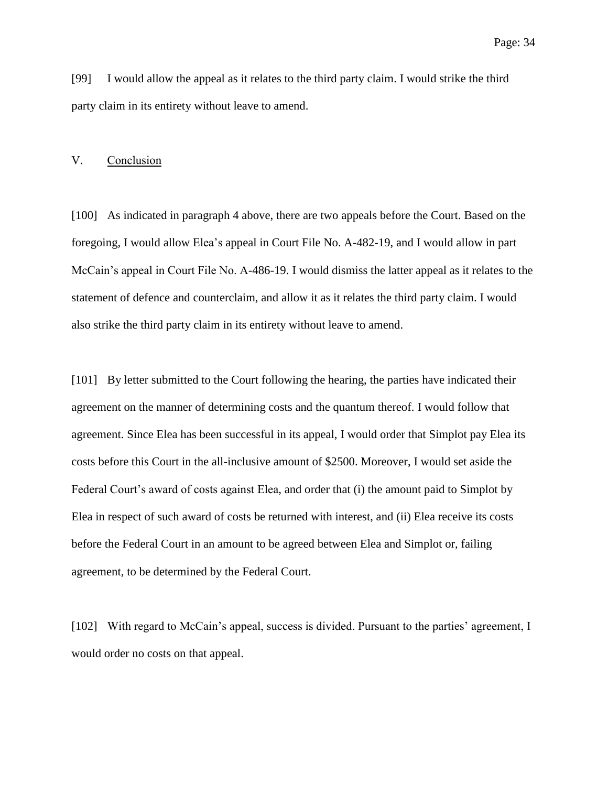[99] I would allow the appeal as it relates to the third party claim. I would strike the third party claim in its entirety without leave to amend.

## V. Conclusion

[100] As indicated in paragraph 4 above, there are two appeals before the Court. Based on the foregoing, I would allow Elea's appeal in Court File No. A-482-19, and I would allow in part McCain's appeal in Court File No. A-486-19. I would dismiss the latter appeal as it relates to the statement of defence and counterclaim, and allow it as it relates the third party claim. I would also strike the third party claim in its entirety without leave to amend.

[101] By letter submitted to the Court following the hearing, the parties have indicated their agreement on the manner of determining costs and the quantum thereof. I would follow that agreement. Since Elea has been successful in its appeal, I would order that Simplot pay Elea its costs before this Court in the all-inclusive amount of \$2500. Moreover, I would set aside the Federal Court's award of costs against Elea, and order that (i) the amount paid to Simplot by Elea in respect of such award of costs be returned with interest, and (ii) Elea receive its costs before the Federal Court in an amount to be agreed between Elea and Simplot or, failing agreement, to be determined by the Federal Court.

[102] With regard to McCain's appeal, success is divided. Pursuant to the parties' agreement, I would order no costs on that appeal.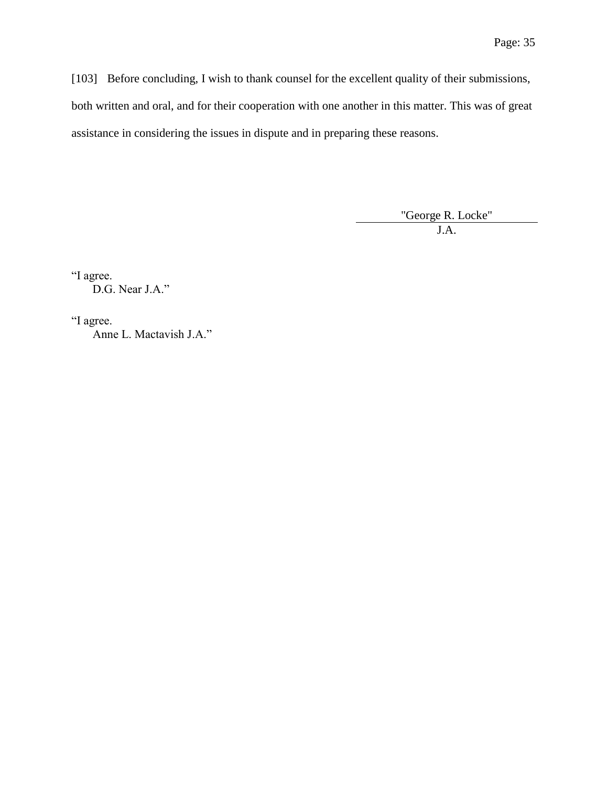[103] Before concluding, I wish to thank counsel for the excellent quality of their submissions, both written and oral, and for their cooperation with one another in this matter. This was of great assistance in considering the issues in dispute and in preparing these reasons.

"George R. Locke"

J.A.

"I agree. D.G. Near J.A."

"I agree. Anne L. Mactavish J.A."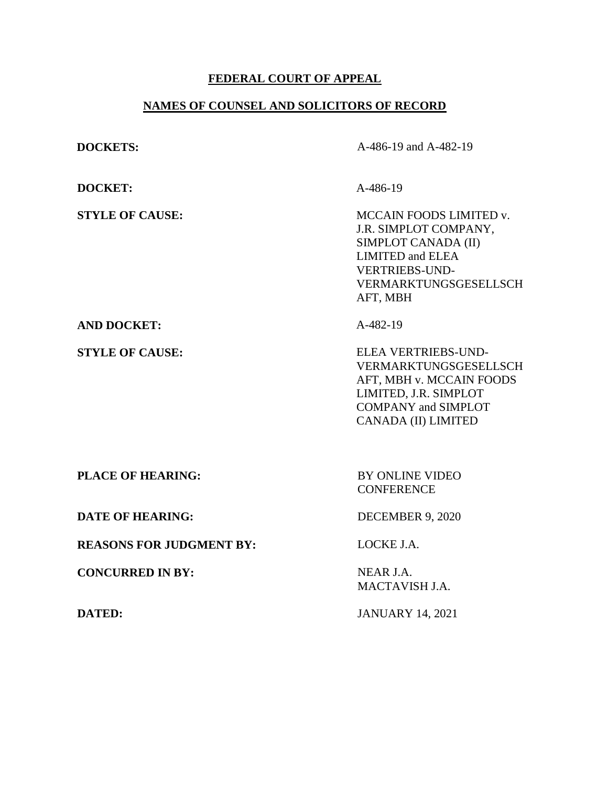# **FEDERAL COURT OF APPEAL**

# **NAMES OF COUNSEL AND SOLICITORS OF RECORD**

| <b>DOCKETS:</b>                 | A-486-19 and A-482-19                                                                                                                                            |
|---------------------------------|------------------------------------------------------------------------------------------------------------------------------------------------------------------|
| <b>DOCKET:</b>                  | A-486-19                                                                                                                                                         |
| <b>STYLE OF CAUSE:</b>          | MCCAIN FOODS LIMITED v.<br>J.R. SIMPLOT COMPANY,<br>SIMPLOT CANADA (II)<br><b>LIMITED and ELEA</b><br><b>VERTRIEBS-UND-</b><br>VERMARKTUNGSGESELLSCH<br>AFT, MBH |
| <b>AND DOCKET:</b>              | A-482-19                                                                                                                                                         |
| <b>STYLE OF CAUSE:</b>          | ELEA VERTRIEBS-UND-<br>VERMARKTUNGSGESELLSCH<br>AFT, MBH v. MCCAIN FOODS<br>LIMITED, J.R. SIMPLOT<br><b>COMPANY and SIMPLOT</b><br><b>CANADA (II) LIMITED</b>    |
| <b>PLACE OF HEARING:</b>        | <b>BY ONLINE VIDEO</b><br><b>CONFERENCE</b>                                                                                                                      |
| <b>DATE OF HEARING:</b>         | DECEMBER 9, 2020                                                                                                                                                 |
| <b>REASONS FOR JUDGMENT BY:</b> | LOCKE J.A.                                                                                                                                                       |
| <b>CONCURRED IN BY:</b>         | NEAR J.A.<br>MACTAVISH J.A.                                                                                                                                      |
| <b>DATED:</b>                   | <b>JANUARY 14, 2021</b>                                                                                                                                          |